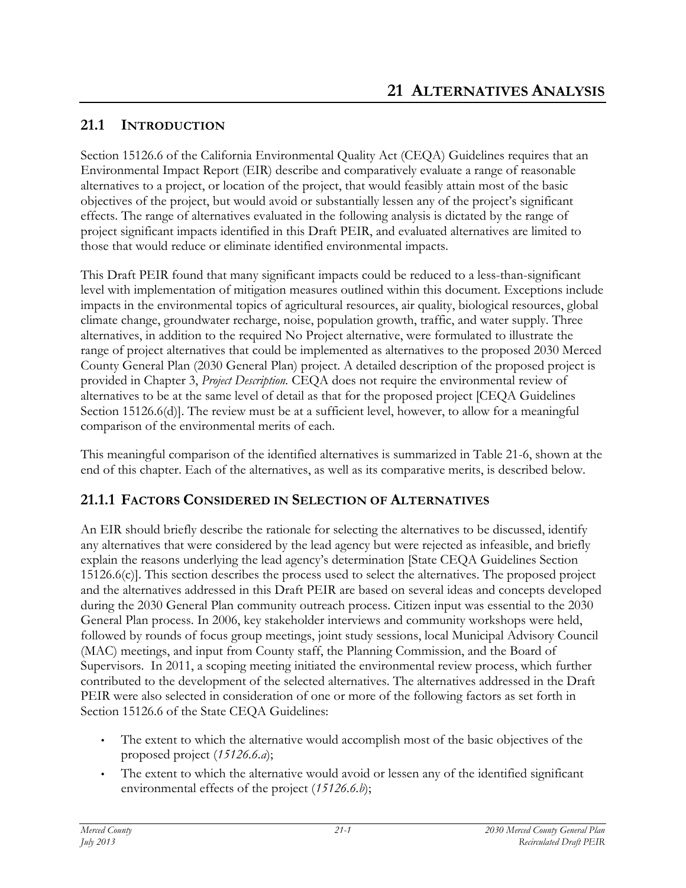### **21.1 INTRODUCTION**

Section 15126.6 of the California Environmental Quality Act (CEQA) Guidelines requires that an Environmental Impact Report (EIR) describe and comparatively evaluate a range of reasonable alternatives to a project, or location of the project, that would feasibly attain most of the basic objectives of the project, but would avoid or substantially lessen any of the project's significant effects. The range of alternatives evaluated in the following analysis is dictated by the range of project significant impacts identified in this Draft PEIR, and evaluated alternatives are limited to those that would reduce or eliminate identified environmental impacts.

This Draft PEIR found that many significant impacts could be reduced to a less-than-significant level with implementation of mitigation measures outlined within this document. Exceptions include impacts in the environmental topics of agricultural resources, air quality, biological resources, global climate change, groundwater recharge, noise, population growth, traffic, and water supply. Three alternatives, in addition to the required No Project alternative, were formulated to illustrate the range of project alternatives that could be implemented as alternatives to the proposed 2030 Merced County General Plan (2030 General Plan) project. A detailed description of the proposed project is provided in Chapter 3, *Project Description.* CEQA does not require the environmental review of alternatives to be at the same level of detail as that for the proposed project [CEQA Guidelines Section 15126.6(d)]. The review must be at a sufficient level, however, to allow for a meaningful comparison of the environmental merits of each.

This meaningful comparison of the identified alternatives is summarized in Table 21-6, shown at the end of this chapter. Each of the alternatives, as well as its comparative merits, is described below.

#### **21.1.1 FACTORS CONSIDERED IN SELECTION OF ALTERNATIVES**

An EIR should briefly describe the rationale for selecting the alternatives to be discussed, identify any alternatives that were considered by the lead agency but were rejected as infeasible, and briefly explain the reasons underlying the lead agency's determination [State CEQA Guidelines Section 15126.6(c)]. This section describes the process used to select the alternatives. The proposed project and the alternatives addressed in this Draft PEIR are based on several ideas and concepts developed during the 2030 General Plan community outreach process. Citizen input was essential to the 2030 General Plan process. In 2006, key stakeholder interviews and community workshops were held, followed by rounds of focus group meetings, joint study sessions, local Municipal Advisory Council (MAC) meetings, and input from County staff, the Planning Commission, and the Board of Supervisors. In 2011, a scoping meeting initiated the environmental review process, which further contributed to the development of the selected alternatives. The alternatives addressed in the Draft PEIR were also selected in consideration of one or more of the following factors as set forth in Section 15126.6 of the State CEQA Guidelines:

- The extent to which the alternative would accomplish most of the basic objectives of the proposed project (*15126.6.a*);
- The extent to which the alternative would avoid or lessen any of the identified significant environmental effects of the project (*15126.6.b*);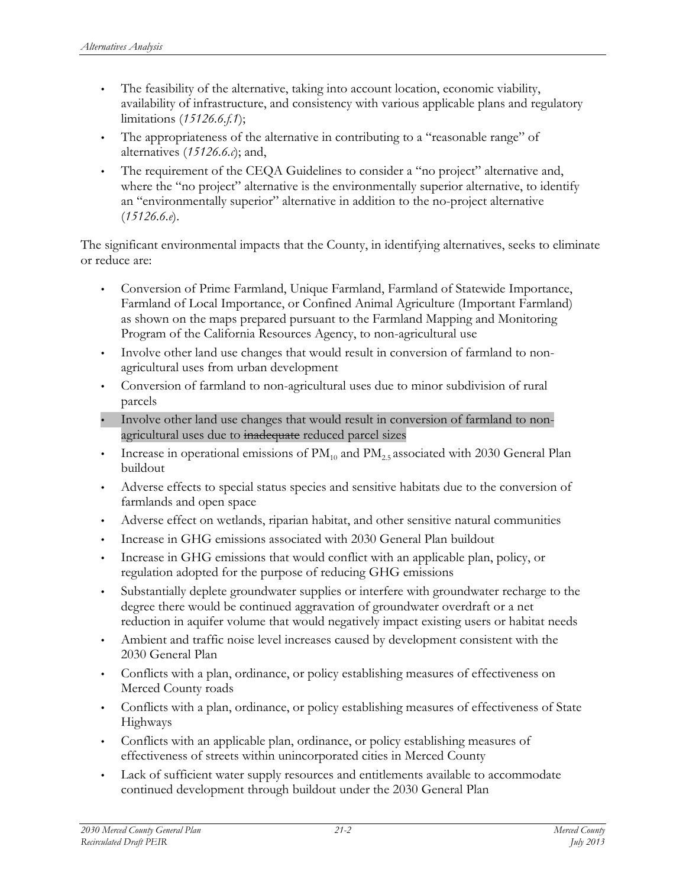- The feasibility of the alternative, taking into account location, economic viability, availability of infrastructure, and consistency with various applicable plans and regulatory limitations (*15126.6.f.1*);
- The appropriateness of the alternative in contributing to a "reasonable range" of alternatives (*15126.6.c*); and,
- The requirement of the CEQA Guidelines to consider a "no project" alternative and, where the "no project" alternative is the environmentally superior alternative, to identify an "environmentally superior" alternative in addition to the no-project alternative (*15126.6.e*).

The significant environmental impacts that the County, in identifying alternatives, seeks to eliminate or reduce are:

- Conversion of Prime Farmland, Unique Farmland, Farmland of Statewide Importance, Farmland of Local Importance, or Confined Animal Agriculture (Important Farmland) as shown on the maps prepared pursuant to the Farmland Mapping and Monitoring Program of the California Resources Agency, to non-agricultural use
- Involve other land use changes that would result in conversion of farmland to nonagricultural uses from urban development
- Conversion of farmland to non-agricultural uses due to minor subdivision of rural parcels
- Involve other land use changes that would result in conversion of farmland to nonagricultural uses due to inadequate reduced parcel sizes
- Increase in operational emissions of  $PM_{10}$  and  $PM_{2.5}$  associated with 2030 General Plan buildout
- Adverse effects to special status species and sensitive habitats due to the conversion of farmlands and open space
- Adverse effect on wetlands, riparian habitat, and other sensitive natural communities
- Increase in GHG emissions associated with 2030 General Plan buildout
- Increase in GHG emissions that would conflict with an applicable plan, policy, or regulation adopted for the purpose of reducing GHG emissions
- Substantially deplete groundwater supplies or interfere with groundwater recharge to the degree there would be continued aggravation of groundwater overdraft or a net reduction in aquifer volume that would negatively impact existing users or habitat needs
- Ambient and traffic noise level increases caused by development consistent with the 2030 General Plan
- Conflicts with a plan, ordinance, or policy establishing measures of effectiveness on Merced County roads
- Conflicts with a plan, ordinance, or policy establishing measures of effectiveness of State Highways
- Conflicts with an applicable plan, ordinance, or policy establishing measures of effectiveness of streets within unincorporated cities in Merced County
- Lack of sufficient water supply resources and entitlements available to accommodate continued development through buildout under the 2030 General Plan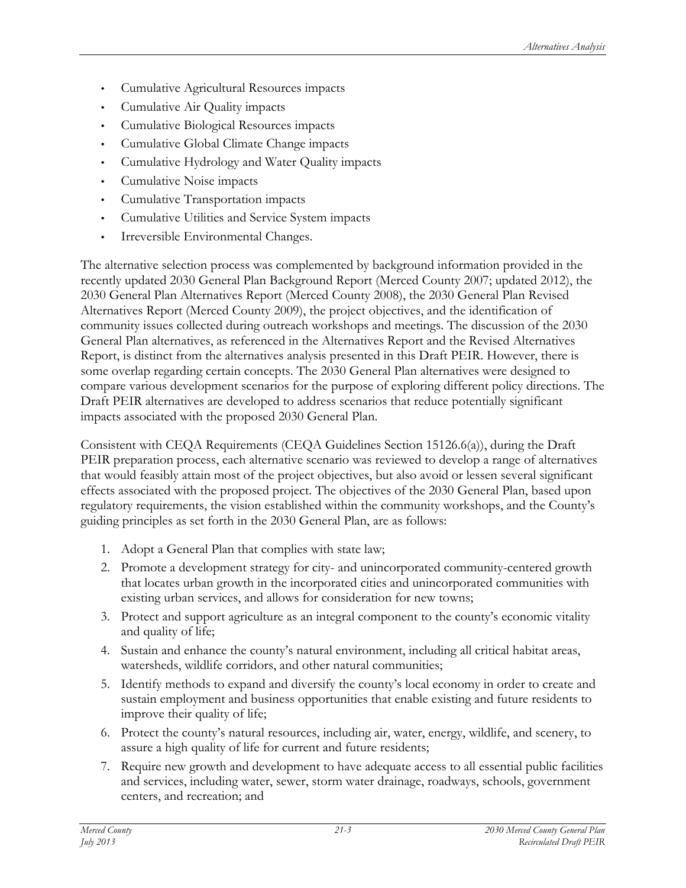- Cumulative Agricultural Resources impacts
- Cumulative Air Quality impacts
- Cumulative Biological Resources impacts
- Cumulative Global Climate Change impacts
- Cumulative Hydrology and Water Quality impacts
- Cumulative Noise impacts
- Cumulative Transportation impacts
- Cumulative Utilities and Service System impacts
- Irreversible Environmental Changes.

The alternative selection process was complemented by background information provided in the recently updated 2030 General Plan Background Report (Merced County 2007; updated 2012), the 2030 General Plan Alternatives Report (Merced County 2008), the 2030 General Plan Revised Alternatives Report (Merced County 2009), the project objectives, and the identification of community issues collected during outreach workshops and meetings. The discussion of the 2030 General Plan alternatives, as referenced in the Alternatives Report and the Revised Alternatives Report, is distinct from the alternatives analysis presented in this Draft PEIR. However, there is some overlap regarding certain concepts. The 2030 General Plan alternatives were designed to compare various development scenarios for the purpose of exploring different policy directions. The Draft PEIR alternatives are developed to address scenarios that reduce potentially significant impacts associated with the proposed 2030 General Plan.

Consistent with CEQA Requirements (CEQA Guidelines Section 15126.6(a)), during the Draft PEIR preparation process, each alternative scenario was reviewed to develop a range of alternatives that would feasibly attain most of the project objectives, but also avoid or lessen several significant effects associated with the proposed project. The objectives of the 2030 General Plan, based upon regulatory requirements, the vision established within the community workshops, and the County's guiding principles as set forth in the 2030 General Plan, are as follows:

- 1. Adopt a General Plan that complies with state law;
- 2. Promote a development strategy for city- and unincorporated community-centered growth that locates urban growth in the incorporated cities and unincorporated communities with existing urban services, and allows for consideration for new towns;
- 3. Protect and support agriculture as an integral component to the county's economic vitality and quality of life;
- 4. Sustain and enhance the county's natural environment, including all critical habitat areas, watersheds, wildlife corridors, and other natural communities;
- 5. Identify methods to expand and diversify the county's local economy in order to create and sustain employment and business opportunities that enable existing and future residents to improve their quality of life;
- 6. Protect the county's natural resources, including air, water, energy, wildlife, and scenery, to assure a high quality of life for current and future residents;
- 7. Require new growth and development to have adequate access to all essential public facilities and services, including water, sewer, storm water drainage, roadways, schools, government centers, and recreation; and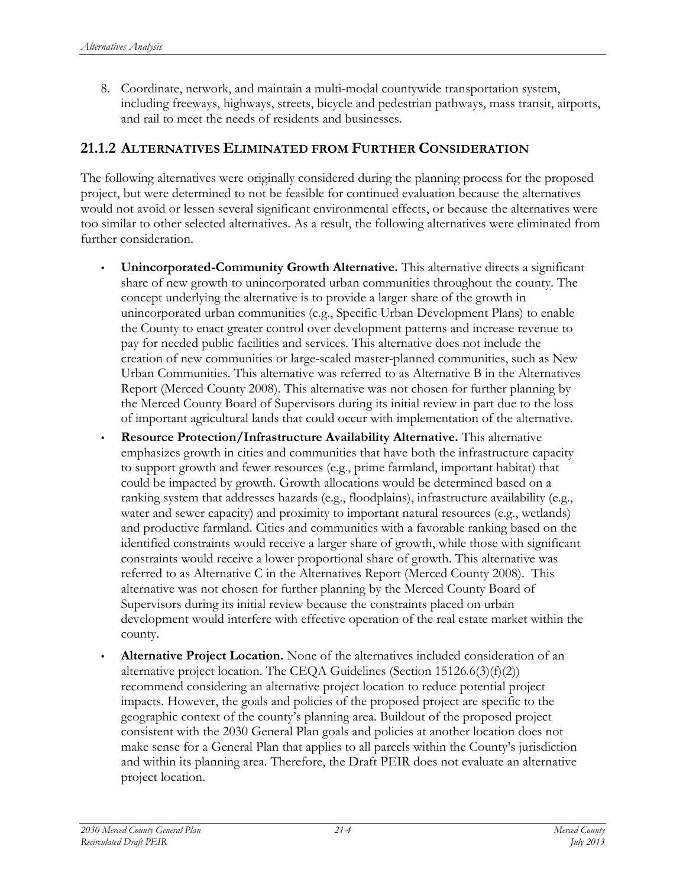8. Coordinate, network, and maintain a multi-modal countywide transportation system, including freeways, highways, streets, bicycle and pedestrian pathways, mass transit, airports, and rail to meet the needs of residents and businesses.

#### **21.1.2 ALTERNATIVES ELIMINATED FROM FURTHER CONSIDERATION**

The following alternatives were originally considered during the planning process for the proposed project, but were determined to not be feasible for continued evaluation because the alternatives would not avoid or lessen several significant environmental effects, or because the alternatives were too similar to other selected alternatives. As a result, the following alternatives were eliminated from further consideration.

- **Unincorporated-Community Growth Alternative.** This alternative directs a significant share of new growth to unincorporated urban communities throughout the county. The concept underlying the alternative is to provide a larger share of the growth in unincorporated urban communities (e.g., Specific Urban Development Plans) to enable the County to enact greater control over development patterns and increase revenue to pay for needed public facilities and services. This alternative does not include the creation of new communities or large-scaled master-planned communities, such as New Urban Communities. This alternative was referred to as Alternative B in the Alternatives Report (Merced County 2008). This alternative was not chosen for further planning by the Merced County Board of Supervisors during its initial review in part due to the loss of important agricultural lands that could occur with implementation of the alternative.
- **Resource Protection/Infrastructure Availability Alternative.** This alternative emphasizes growth in cities and communities that have both the infrastructure capacity to support growth and fewer resources (e.g., prime farmland, important habitat) that could be impacted by growth. Growth allocations would be determined based on a ranking system that addresses hazards (e.g., floodplains), infrastructure availability (e.g., water and sewer capacity) and proximity to important natural resources (e.g., wetlands) and productive farmland. Cities and communities with a favorable ranking based on the identified constraints would receive a larger share of growth, while those with significant constraints would receive a lower proportional share of growth. This alternative was referred to as Alternative C in the Alternatives Report (Merced County 2008). This alternative was not chosen for further planning by the Merced County Board of Supervisors during its initial review because the constraints placed on urban development would interfere with effective operation of the real estate market within the county.
- **Alternative Project Location.** None of the alternatives included consideration of an alternative project location. The CEQA Guidelines (Section 15126.6(3)(f)(2)) recommend considering an alternative project location to reduce potential project impacts. However, the goals and policies of the proposed project are specific to the geographic context of the county's planning area. Buildout of the proposed project consistent with the 2030 General Plan goals and policies at another location does not make sense for a General Plan that applies to all parcels within the County's jurisdiction and within its planning area. Therefore, the Draft PEIR does not evaluate an alternative project location.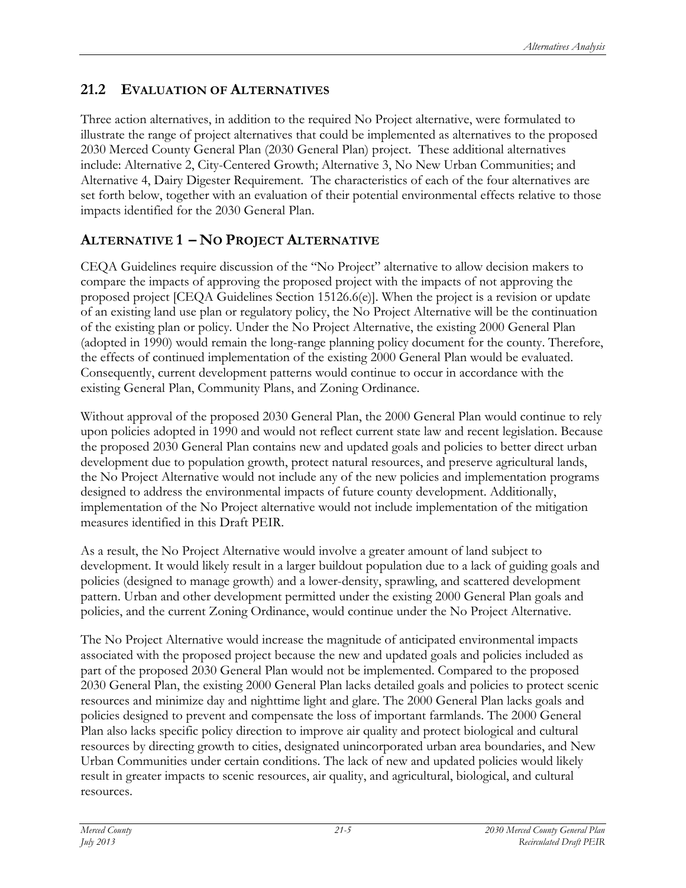# **21.2 EVALUATION OF ALTERNATIVES**

Three action alternatives, in addition to the required No Project alternative, were formulated to illustrate the range of project alternatives that could be implemented as alternatives to the proposed 2030 Merced County General Plan (2030 General Plan) project. These additional alternatives include: Alternative 2, City-Centered Growth; Alternative 3, No New Urban Communities; and Alternative 4, Dairy Digester Requirement. The characteristics of each of the four alternatives are set forth below, together with an evaluation of their potential environmental effects relative to those impacts identified for the 2030 General Plan.

# **ALTERNATIVE 1 – NO PROJECT ALTERNATIVE**

CEQA Guidelines require discussion of the "No Project" alternative to allow decision makers to compare the impacts of approving the proposed project with the impacts of not approving the proposed project [CEQA Guidelines Section 15126.6(e)]. When the project is a revision or update of an existing land use plan or regulatory policy, the No Project Alternative will be the continuation of the existing plan or policy. Under the No Project Alternative, the existing 2000 General Plan (adopted in 1990) would remain the long-range planning policy document for the county. Therefore, the effects of continued implementation of the existing 2000 General Plan would be evaluated. Consequently, current development patterns would continue to occur in accordance with the existing General Plan, Community Plans, and Zoning Ordinance.

Without approval of the proposed 2030 General Plan, the 2000 General Plan would continue to rely upon policies adopted in 1990 and would not reflect current state law and recent legislation. Because the proposed 2030 General Plan contains new and updated goals and policies to better direct urban development due to population growth, protect natural resources, and preserve agricultural lands, the No Project Alternative would not include any of the new policies and implementation programs designed to address the environmental impacts of future county development. Additionally, implementation of the No Project alternative would not include implementation of the mitigation measures identified in this Draft PEIR.

As a result, the No Project Alternative would involve a greater amount of land subject to development. It would likely result in a larger buildout population due to a lack of guiding goals and policies (designed to manage growth) and a lower-density, sprawling, and scattered development pattern. Urban and other development permitted under the existing 2000 General Plan goals and policies, and the current Zoning Ordinance, would continue under the No Project Alternative.

The No Project Alternative would increase the magnitude of anticipated environmental impacts associated with the proposed project because the new and updated goals and policies included as part of the proposed 2030 General Plan would not be implemented. Compared to the proposed 2030 General Plan, the existing 2000 General Plan lacks detailed goals and policies to protect scenic resources and minimize day and nighttime light and glare. The 2000 General Plan lacks goals and policies designed to prevent and compensate the loss of important farmlands. The 2000 General Plan also lacks specific policy direction to improve air quality and protect biological and cultural resources by directing growth to cities, designated unincorporated urban area boundaries, and New Urban Communities under certain conditions. The lack of new and updated policies would likely result in greater impacts to scenic resources, air quality, and agricultural, biological, and cultural resources.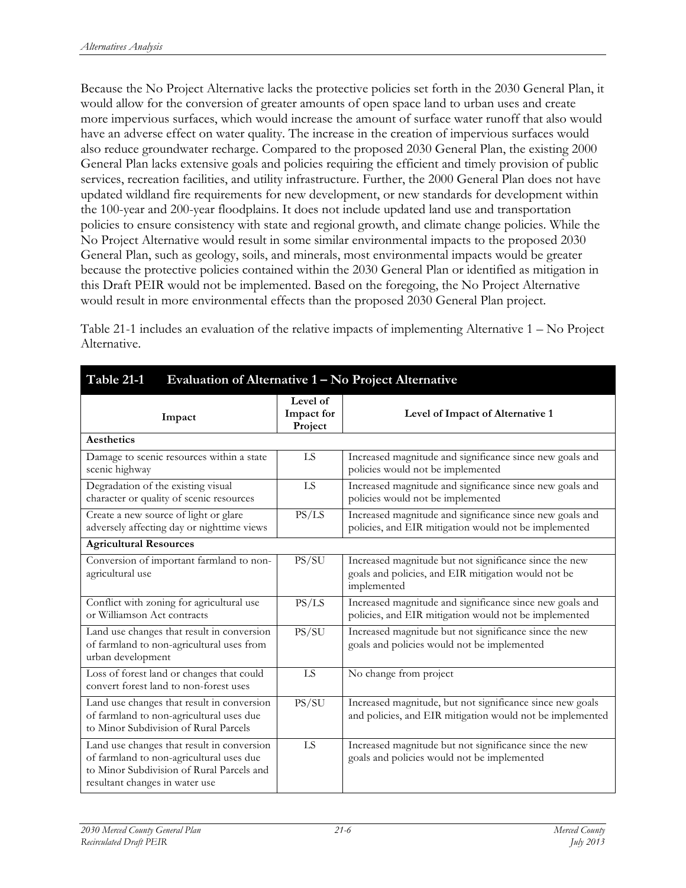Because the No Project Alternative lacks the protective policies set forth in the 2030 General Plan, it would allow for the conversion of greater amounts of open space land to urban uses and create more impervious surfaces, which would increase the amount of surface water runoff that also would have an adverse effect on water quality. The increase in the creation of impervious surfaces would also reduce groundwater recharge. Compared to the proposed 2030 General Plan, the existing 2000 General Plan lacks extensive goals and policies requiring the efficient and timely provision of public services, recreation facilities, and utility infrastructure. Further, the 2000 General Plan does not have updated wildland fire requirements for new development, or new standards for development within the 100-year and 200-year floodplains. It does not include updated land use and transportation policies to ensure consistency with state and regional growth, and climate change policies. While the No Project Alternative would result in some similar environmental impacts to the proposed 2030 General Plan, such as geology, soils, and minerals, most environmental impacts would be greater because the protective policies contained within the 2030 General Plan or identified as mitigation in this Draft PEIR would not be implemented. Based on the foregoing, the No Project Alternative would result in more environmental effects than the proposed 2030 General Plan project.

Table 21-1 includes an evaluation of the relative impacts of implementing Alternative 1 – No Project Alternative.

| Table 21-1<br>Evaluation of Alternative 1 – No Project Alternative                                                                                                    |                                   |                                                                                                                              |
|-----------------------------------------------------------------------------------------------------------------------------------------------------------------------|-----------------------------------|------------------------------------------------------------------------------------------------------------------------------|
| Impact                                                                                                                                                                | Level of<br>Impact for<br>Project | Level of Impact of Alternative 1                                                                                             |
| <b>Aesthetics</b>                                                                                                                                                     |                                   |                                                                                                                              |
| Damage to scenic resources within a state<br>scenic highway                                                                                                           | LS                                | Increased magnitude and significance since new goals and<br>policies would not be implemented                                |
| Degradation of the existing visual<br>character or quality of scenic resources                                                                                        | LS                                | Increased magnitude and significance since new goals and<br>policies would not be implemented                                |
| Create a new source of light or glare<br>adversely affecting day or nighttime views                                                                                   | PS/LS                             | Increased magnitude and significance since new goals and<br>policies, and EIR mitigation would not be implemented            |
| <b>Agricultural Resources</b>                                                                                                                                         |                                   |                                                                                                                              |
| Conversion of important farmland to non-<br>agricultural use                                                                                                          | PS/SU                             | Increased magnitude but not significance since the new<br>goals and policies, and EIR mitigation would not be<br>implemented |
| Conflict with zoning for agricultural use<br>or Williamson Act contracts                                                                                              | PS/LS                             | Increased magnitude and significance since new goals and<br>policies, and EIR mitigation would not be implemented            |
| Land use changes that result in conversion<br>of farmland to non-agricultural uses from<br>urban development                                                          | PS/SU                             | Increased magnitude but not significance since the new<br>goals and policies would not be implemented                        |
| Loss of forest land or changes that could<br>convert forest land to non-forest uses                                                                                   | LS                                | No change from project                                                                                                       |
| Land use changes that result in conversion<br>of farmland to non-agricultural uses due<br>to Minor Subdivision of Rural Parcels                                       | PS/SU                             | Increased magnitude, but not significance since new goals<br>and policies, and EIR mitigation would not be implemented       |
| Land use changes that result in conversion<br>of farmland to non-agricultural uses due<br>to Minor Subdivision of Rural Parcels and<br>resultant changes in water use | LS                                | Increased magnitude but not significance since the new<br>goals and policies would not be implemented                        |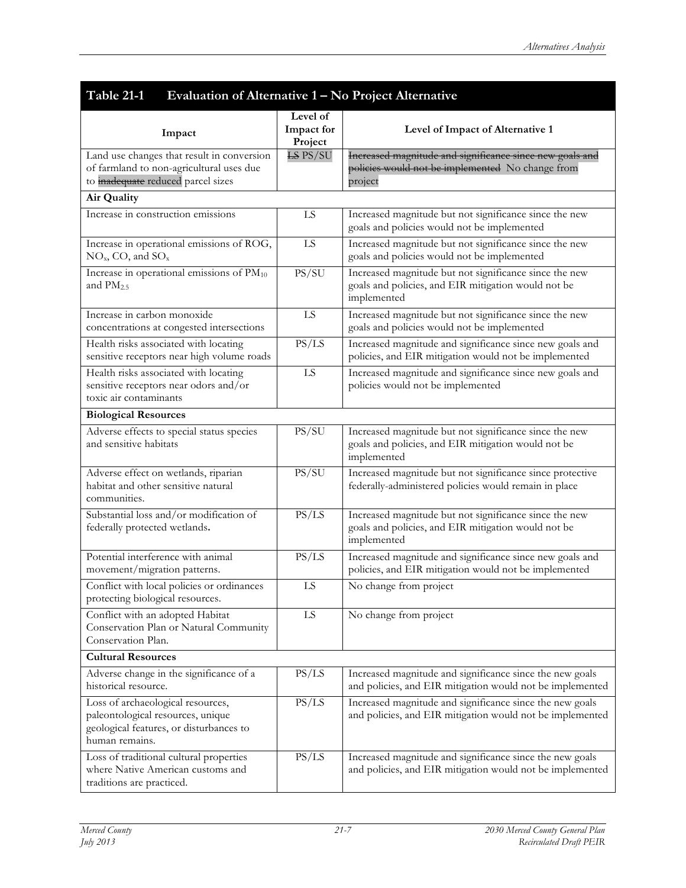| Table 21-1<br>Evaluation of Alternative $\overline{1 - No}$ Project Alternative                                                     |                                   |                                                                                                                              |
|-------------------------------------------------------------------------------------------------------------------------------------|-----------------------------------|------------------------------------------------------------------------------------------------------------------------------|
| Impact                                                                                                                              | Level of<br>Impact for<br>Project | Level of Impact of Alternative 1                                                                                             |
| Land use changes that result in conversion<br>of farmland to non-agricultural uses due<br>to inadequate reduced parcel sizes        | <b>LS PS/SU</b>                   | Increased magnitude and significance since new goals and<br>policies would not be implemented No change from<br>project      |
| Air Quality                                                                                                                         |                                   |                                                                                                                              |
| Increase in construction emissions                                                                                                  | LS                                | Increased magnitude but not significance since the new<br>goals and policies would not be implemented                        |
| Increase in operational emissions of ROG,<br>$NOx$ , CO, and $SOx$                                                                  | LS                                | Increased magnitude but not significance since the new<br>goals and policies would not be implemented                        |
| Increase in operational emissions of PM10<br>and $PM2.5$                                                                            | PS/SU                             | Increased magnitude but not significance since the new<br>goals and policies, and EIR mitigation would not be<br>implemented |
| Increase in carbon monoxide<br>concentrations at congested intersections                                                            | ${\rm LS}$                        | Increased magnitude but not significance since the new<br>goals and policies would not be implemented                        |
| Health risks associated with locating<br>sensitive receptors near high volume roads                                                 | PS/LS                             | Increased magnitude and significance since new goals and<br>policies, and EIR mitigation would not be implemented            |
| Health risks associated with locating<br>sensitive receptors near odors and/or<br>toxic air contaminants                            | ${\rm LS}$                        | Increased magnitude and significance since new goals and<br>policies would not be implemented                                |
| <b>Biological Resources</b>                                                                                                         |                                   |                                                                                                                              |
| Adverse effects to special status species<br>and sensitive habitats                                                                 | PS/SU                             | Increased magnitude but not significance since the new<br>goals and policies, and EIR mitigation would not be<br>implemented |
| Adverse effect on wetlands, riparian<br>habitat and other sensitive natural<br>communities.                                         | PS/SU                             | Increased magnitude but not significance since protective<br>federally-administered policies would remain in place           |
| Substantial loss and/or modification of<br>federally protected wetlands.                                                            | PS/LS                             | Increased magnitude but not significance since the new<br>goals and policies, and EIR mitigation would not be<br>implemented |
| Potential interference with animal<br>movement/migration patterns.                                                                  | PS/LS                             | Increased magnitude and significance since new goals and<br>policies, and EIR mitigation would not be implemented            |
| Conflict with local policies or ordinances<br>protecting biological resources.                                                      | ${\rm LS}$                        | No change from project                                                                                                       |
| Conflict with an adopted Habitat<br>Conservation Plan or Natural Community<br>Conservation Plan.                                    | LS                                | No change from project                                                                                                       |
| <b>Cultural Resources</b>                                                                                                           |                                   |                                                                                                                              |
| Adverse change in the significance of a<br>historical resource.                                                                     | PS/LS                             | Increased magnitude and significance since the new goals<br>and policies, and EIR mitigation would not be implemented        |
| Loss of archaeological resources,<br>paleontological resources, unique<br>geological features, or disturbances to<br>human remains. | PS/LS                             | Increased magnitude and significance since the new goals<br>and policies, and EIR mitigation would not be implemented        |
| Loss of traditional cultural properties<br>where Native American customs and<br>traditions are practiced.                           | PS/LS                             | Increased magnitude and significance since the new goals<br>and policies, and EIR mitigation would not be implemented        |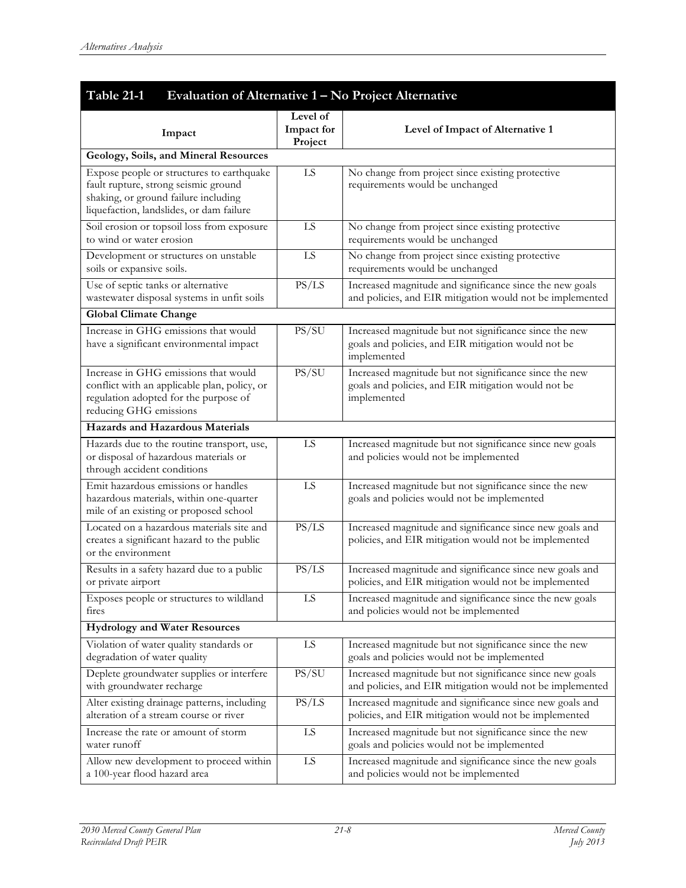| Table 21-1<br>Evaluation of Alternative $1 - No$ Project Alternative                                                                                                  |                                   |                                                                                                                              |  |
|-----------------------------------------------------------------------------------------------------------------------------------------------------------------------|-----------------------------------|------------------------------------------------------------------------------------------------------------------------------|--|
| Impact                                                                                                                                                                | Level of<br>Impact for<br>Project | Level of Impact of Alternative 1                                                                                             |  |
| Geology, Soils, and Mineral Resources                                                                                                                                 |                                   |                                                                                                                              |  |
| Expose people or structures to earthquake<br>fault rupture, strong seismic ground<br>shaking, or ground failure including<br>liquefaction, landslides, or dam failure | LS                                | No change from project since existing protective<br>requirements would be unchanged                                          |  |
| Soil erosion or topsoil loss from exposure<br>to wind or water erosion                                                                                                | LS                                | No change from project since existing protective<br>requirements would be unchanged                                          |  |
| Development or structures on unstable<br>soils or expansive soils.                                                                                                    | LS                                | No change from project since existing protective<br>requirements would be unchanged                                          |  |
| Use of septic tanks or alternative<br>wastewater disposal systems in unfit soils                                                                                      | PS/LS                             | Increased magnitude and significance since the new goals<br>and policies, and EIR mitigation would not be implemented        |  |
| <b>Global Climate Change</b>                                                                                                                                          |                                   |                                                                                                                              |  |
| Increase in GHG emissions that would<br>have a significant environmental impact                                                                                       | PS/SU                             | Increased magnitude but not significance since the new<br>goals and policies, and EIR mitigation would not be<br>implemented |  |
| Increase in GHG emissions that would<br>conflict with an applicable plan, policy, or<br>regulation adopted for the purpose of<br>reducing GHG emissions               | PS/SU                             | Increased magnitude but not significance since the new<br>goals and policies, and EIR mitigation would not be<br>implemented |  |
| <b>Hazards and Hazardous Materials</b>                                                                                                                                |                                   |                                                                                                                              |  |
| Hazards due to the routine transport, use,<br>or disposal of hazardous materials or<br>through accident conditions                                                    | LS                                | Increased magnitude but not significance since new goals<br>and policies would not be implemented                            |  |
| Emit hazardous emissions or handles<br>hazardous materials, within one-quarter<br>mile of an existing or proposed school                                              | LS                                | Increased magnitude but not significance since the new<br>goals and policies would not be implemented                        |  |
| Located on a hazardous materials site and<br>creates a significant hazard to the public<br>or the environment                                                         | PS/LS                             | Increased magnitude and significance since new goals and<br>policies, and EIR mitigation would not be implemented            |  |
| Results in a safety hazard due to a public<br>or private airport                                                                                                      | PS/LS                             | Increased magnitude and significance since new goals and<br>policies, and EIR mitigation would not be implemented            |  |
| Exposes people or structures to wildland<br>fires                                                                                                                     | LS                                | Increased magnitude and significance since the new goals<br>and policies would not be implemented                            |  |
| <b>Hydrology and Water Resources</b>                                                                                                                                  |                                   |                                                                                                                              |  |
| Violation of water quality standards or<br>degradation of water quality                                                                                               | LS                                | Increased magnitude but not significance since the new<br>goals and policies would not be implemented                        |  |
| Deplete groundwater supplies or interfere<br>with groundwater recharge                                                                                                | PS/SU                             | Increased magnitude but not significance since new goals<br>and policies, and EIR mitigation would not be implemented        |  |
| Alter existing drainage patterns, including<br>alteration of a stream course or river                                                                                 | PS/LS                             | Increased magnitude and significance since new goals and<br>policies, and EIR mitigation would not be implemented            |  |
| Increase the rate or amount of storm<br>water runoff                                                                                                                  | LS                                | Increased magnitude but not significance since the new<br>goals and policies would not be implemented                        |  |
| Allow new development to proceed within<br>a 100-year flood hazard area                                                                                               | ${\rm LS}$                        | Increased magnitude and significance since the new goals<br>and policies would not be implemented                            |  |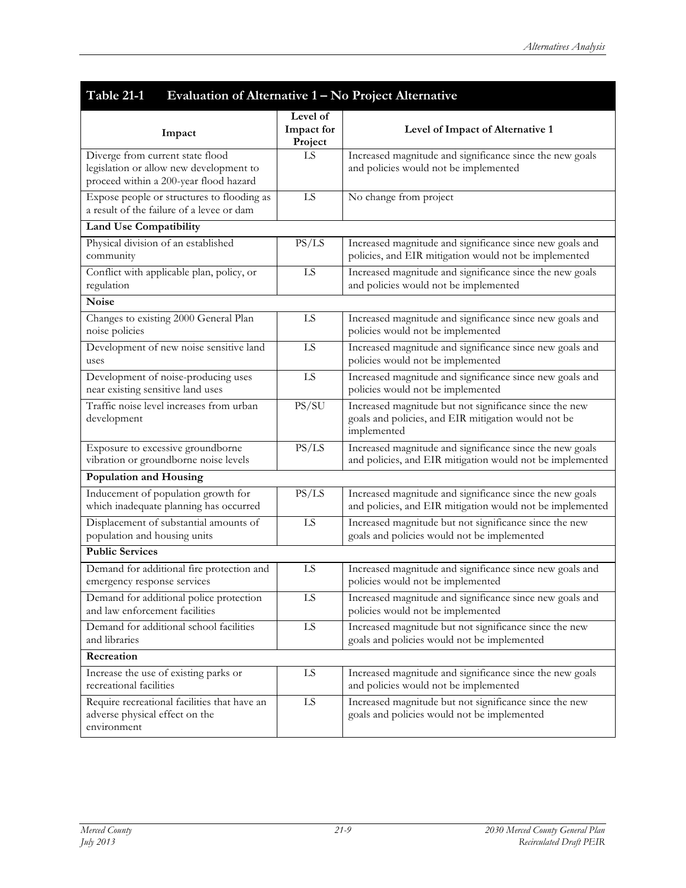| Table 21-1<br>Evaluation of Alternative 1 – No Project Alternative<br>Level of                                        |                       |                                                                                                                              |  |
|-----------------------------------------------------------------------------------------------------------------------|-----------------------|------------------------------------------------------------------------------------------------------------------------------|--|
| Impact                                                                                                                | Impact for<br>Project | Level of Impact of Alternative 1                                                                                             |  |
| Diverge from current state flood<br>legislation or allow new development to<br>proceed within a 200-year flood hazard | LS                    | Increased magnitude and significance since the new goals<br>and policies would not be implemented                            |  |
| Expose people or structures to flooding as<br>a result of the failure of a levee or dam                               | LS                    | No change from project                                                                                                       |  |
| <b>Land Use Compatibility</b>                                                                                         |                       |                                                                                                                              |  |
| Physical division of an established<br>community                                                                      | PS/LS                 | Increased magnitude and significance since new goals and<br>policies, and EIR mitigation would not be implemented            |  |
| Conflict with applicable plan, policy, or<br>regulation                                                               | LS                    | Increased magnitude and significance since the new goals<br>and policies would not be implemented                            |  |
| <b>Noise</b>                                                                                                          |                       |                                                                                                                              |  |
| Changes to existing 2000 General Plan<br>noise policies                                                               | LS                    | Increased magnitude and significance since new goals and<br>policies would not be implemented                                |  |
| Development of new noise sensitive land<br>uses                                                                       | LS                    | Increased magnitude and significance since new goals and<br>policies would not be implemented                                |  |
| Development of noise-producing uses<br>near existing sensitive land uses                                              | LS                    | Increased magnitude and significance since new goals and<br>policies would not be implemented                                |  |
| Traffic noise level increases from urban<br>development                                                               | PS/SU                 | Increased magnitude but not significance since the new<br>goals and policies, and EIR mitigation would not be<br>implemented |  |
| Exposure to excessive groundborne<br>vibration or groundborne noise levels                                            | PS/LS                 | Increased magnitude and significance since the new goals<br>and policies, and EIR mitigation would not be implemented        |  |
| Population and Housing                                                                                                |                       |                                                                                                                              |  |
| Inducement of population growth for<br>which inadequate planning has occurred                                         | PS/LS                 | Increased magnitude and significance since the new goals<br>and policies, and EIR mitigation would not be implemented        |  |
| Displacement of substantial amounts of<br>population and housing units                                                | ${\rm LS}$            | Increased magnitude but not significance since the new<br>goals and policies would not be implemented                        |  |
| <b>Public Services</b>                                                                                                |                       |                                                                                                                              |  |
| Demand for additional fire protection and<br>emergency response services                                              | LS                    | Increased magnitude and significance since new goals and<br>policies would not be implemented                                |  |
| Demand for additional police protection<br>and law enforcement facilities                                             | LS                    | Increased magnitude and significance since new goals and<br>policies would not be implemented                                |  |
| Demand for additional school facilities<br>and libraries                                                              | LS                    | Increased magnitude but not significance since the new<br>goals and policies would not be implemented                        |  |
| Recreation                                                                                                            |                       |                                                                                                                              |  |
| Increase the use of existing parks or<br>recreational facilities                                                      | LS                    | Increased magnitude and significance since the new goals<br>and policies would not be implemented                            |  |
| Require recreational facilities that have an<br>adverse physical effect on the<br>environment                         | $\overline{LS}$       | Increased magnitude but not significance since the new<br>goals and policies would not be implemented                        |  |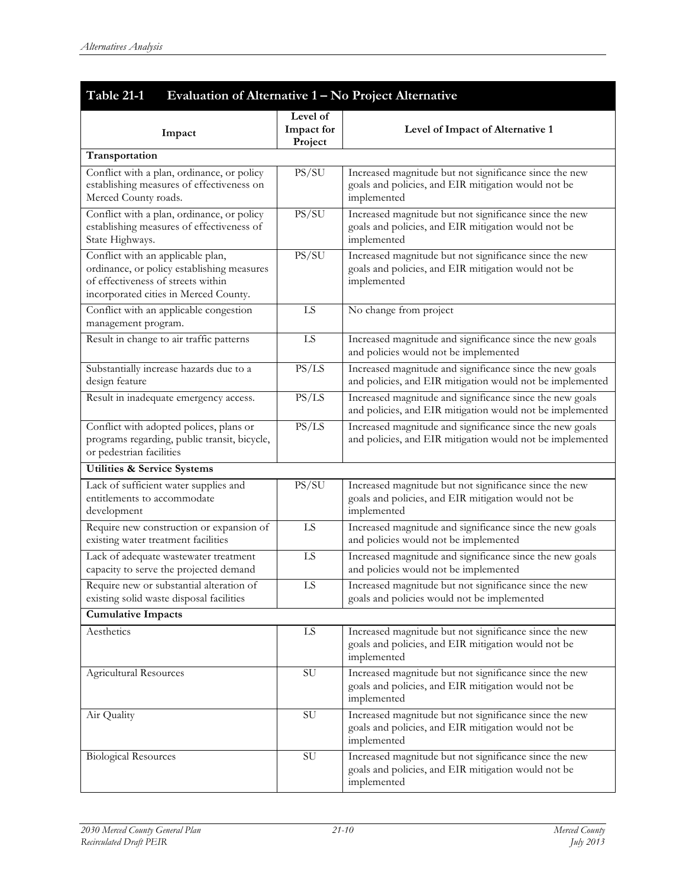# **Table 21-1 Evaluation of Alternative 1 – No Project Alternative**

|                                                                                         | Level of      |                                                                                                                       |
|-----------------------------------------------------------------------------------------|---------------|-----------------------------------------------------------------------------------------------------------------------|
| Impact                                                                                  | Impact for    | Level of Impact of Alternative 1                                                                                      |
| Transportation                                                                          | Project       |                                                                                                                       |
| Conflict with a plan, ordinance, or policy                                              | PS/SU         | Increased magnitude but not significance since the new                                                                |
| establishing measures of effectiveness on                                               |               | goals and policies, and EIR mitigation would not be                                                                   |
| Merced County roads.                                                                    |               | implemented                                                                                                           |
| Conflict with a plan, ordinance, or policy                                              | PS/SU         | Increased magnitude but not significance since the new                                                                |
| establishing measures of effectiveness of                                               |               | goals and policies, and EIR mitigation would not be                                                                   |
| State Highways.                                                                         |               | implemented                                                                                                           |
| Conflict with an applicable plan,                                                       | PS/SU         | Increased magnitude but not significance since the new                                                                |
| ordinance, or policy establishing measures                                              |               | goals and policies, and EIR mitigation would not be                                                                   |
| of effectiveness of streets within                                                      |               | implemented                                                                                                           |
| incorporated cities in Merced County.                                                   |               |                                                                                                                       |
| Conflict with an applicable congestion                                                  | LS            | No change from project                                                                                                |
| management program.                                                                     |               |                                                                                                                       |
| Result in change to air traffic patterns                                                | LS            | Increased magnitude and significance since the new goals                                                              |
|                                                                                         |               | and policies would not be implemented                                                                                 |
| Substantially increase hazards due to a                                                 | PS/LS         | Increased magnitude and significance since the new goals<br>and policies, and EIR mitigation would not be implemented |
| design feature                                                                          |               |                                                                                                                       |
| Result in inadequate emergency access.                                                  | PS/LS         | Increased magnitude and significance since the new goals<br>and policies, and EIR mitigation would not be implemented |
|                                                                                         | PS/LS         | Increased magnitude and significance since the new goals                                                              |
| Conflict with adopted polices, plans or<br>programs regarding, public transit, bicycle, |               | and policies, and EIR mitigation would not be implemented                                                             |
| or pedestrian facilities                                                                |               |                                                                                                                       |
| <b>Utilities &amp; Service Systems</b>                                                  |               |                                                                                                                       |
| Lack of sufficient water supplies and                                                   | PS/SU         | Increased magnitude but not significance since the new                                                                |
| entitlements to accommodate                                                             |               | goals and policies, and EIR mitigation would not be                                                                   |
| development                                                                             |               | implemented                                                                                                           |
| Require new construction or expansion of                                                | LS            | Increased magnitude and significance since the new goals                                                              |
| existing water treatment facilities                                                     |               | and policies would not be implemented                                                                                 |
| Lack of adequate wastewater treatment                                                   | LS            | Increased magnitude and significance since the new goals                                                              |
| capacity to serve the projected demand                                                  |               | and policies would not be implemented                                                                                 |
| Require new or substantial alteration of                                                | LS            | Increased magnitude but not significance since the new                                                                |
| existing solid waste disposal facilities                                                |               | goals and policies would not be implemented                                                                           |
| <b>Cumulative Impacts</b>                                                               |               |                                                                                                                       |
| Aesthetics                                                                              | LS            | Increased magnitude but not significance since the new                                                                |
|                                                                                         |               | goals and policies, and EIR mitigation would not be                                                                   |
|                                                                                         |               | implemented                                                                                                           |
| <b>Agricultural Resources</b>                                                           | <b>SU</b>     | Increased magnitude but not significance since the new<br>goals and policies, and EIR mitigation would not be         |
|                                                                                         |               | implemented                                                                                                           |
| Air Quality                                                                             | $\mathrm{SU}$ | Increased magnitude but not significance since the new                                                                |
|                                                                                         |               | goals and policies, and EIR mitigation would not be                                                                   |
|                                                                                         |               | implemented                                                                                                           |
| <b>Biological Resources</b>                                                             | ${\rm SU}$    | Increased magnitude but not significance since the new                                                                |
|                                                                                         |               | goals and policies, and EIR mitigation would not be                                                                   |
|                                                                                         |               | implemented                                                                                                           |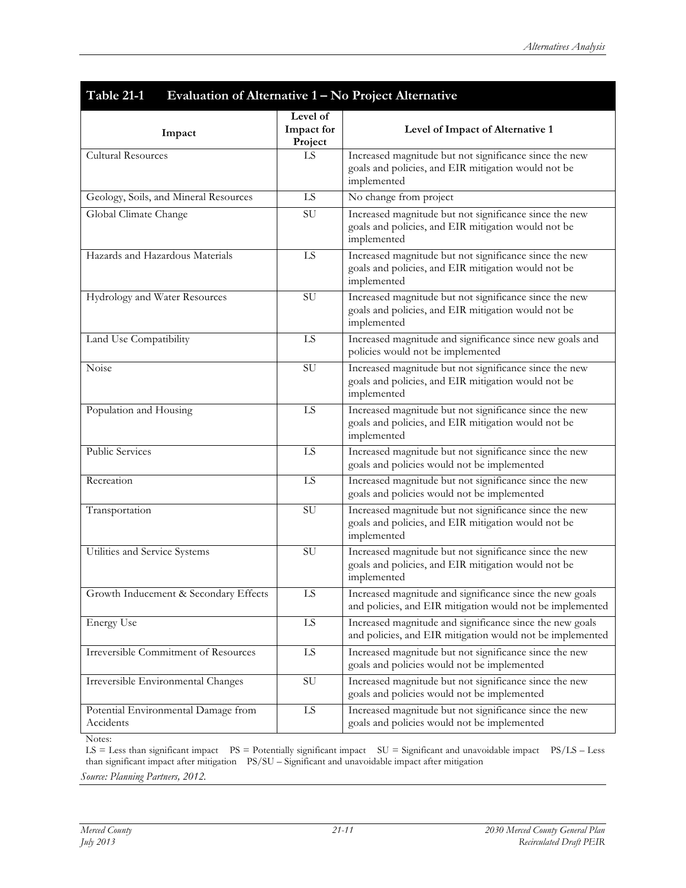| Table 21-1<br>Evaluation of Alternative 1 – No Project Alternative |                                   |                                                                                                                              |
|--------------------------------------------------------------------|-----------------------------------|------------------------------------------------------------------------------------------------------------------------------|
| Impact                                                             | Level of<br>Impact for<br>Project | Level of Impact of Alternative 1                                                                                             |
| <b>Cultural Resources</b>                                          | LS                                | Increased magnitude but not significance since the new<br>goals and policies, and EIR mitigation would not be<br>implemented |
| Geology, Soils, and Mineral Resources                              | ${\rm LS}$                        | No change from project                                                                                                       |
| Global Climate Change                                              | SU                                | Increased magnitude but not significance since the new<br>goals and policies, and EIR mitigation would not be<br>implemented |
| Hazards and Hazardous Materials                                    | LS.                               | Increased magnitude but not significance since the new<br>goals and policies, and EIR mitigation would not be<br>implemented |
| Hydrology and Water Resources                                      | SU                                | Increased magnitude but not significance since the new<br>goals and policies, and EIR mitigation would not be<br>implemented |
| Land Use Compatibility                                             | LS                                | Increased magnitude and significance since new goals and<br>policies would not be implemented                                |
| Noise                                                              | SU                                | Increased magnitude but not significance since the new<br>goals and policies, and EIR mitigation would not be<br>implemented |
| Population and Housing                                             | ${\rm LS}$                        | Increased magnitude but not significance since the new<br>goals and policies, and EIR mitigation would not be<br>implemented |
| <b>Public Services</b>                                             | LS                                | Increased magnitude but not significance since the new<br>goals and policies would not be implemented                        |
| Recreation                                                         | <b>LS</b>                         | Increased magnitude but not significance since the new<br>goals and policies would not be implemented                        |
| Transportation                                                     | SU                                | Increased magnitude but not significance since the new<br>goals and policies, and EIR mitigation would not be<br>implemented |
| Utilities and Service Systems                                      | $\mathrm{SU}$                     | Increased magnitude but not significance since the new<br>goals and policies, and EIR mitigation would not be<br>implemented |
| Growth Inducement & Secondary Effects                              | LS                                | Increased magnitude and significance since the new goals<br>and policies, and EIR mitigation would not be implemented        |
| <b>Energy Use</b>                                                  | ${\rm LS}$                        | Increased magnitude and significance since the new goals<br>and policies, and EIR mitigation would not be implemented        |
| Irreversible Commitment of Resources                               | LS                                | Increased magnitude but not significance since the new<br>goals and policies would not be implemented                        |
| Irreversible Environmental Changes                                 | ${\rm SU}$                        | Increased magnitude but not significance since the new<br>goals and policies would not be implemented                        |
| Potential Environmental Damage from<br>Accidents                   | ${\rm LS}$                        | Increased magnitude but not significance since the new<br>goals and policies would not be implemented                        |

Notes:

LS = Less than significant impact PS = Potentially significant impact SU = Significant and unavoidable impact PS/LS – Less than significant impact after mitigation PS/SU – Significant and unavoidable impact after mitigation

*Source: Planning Partners, 2012.*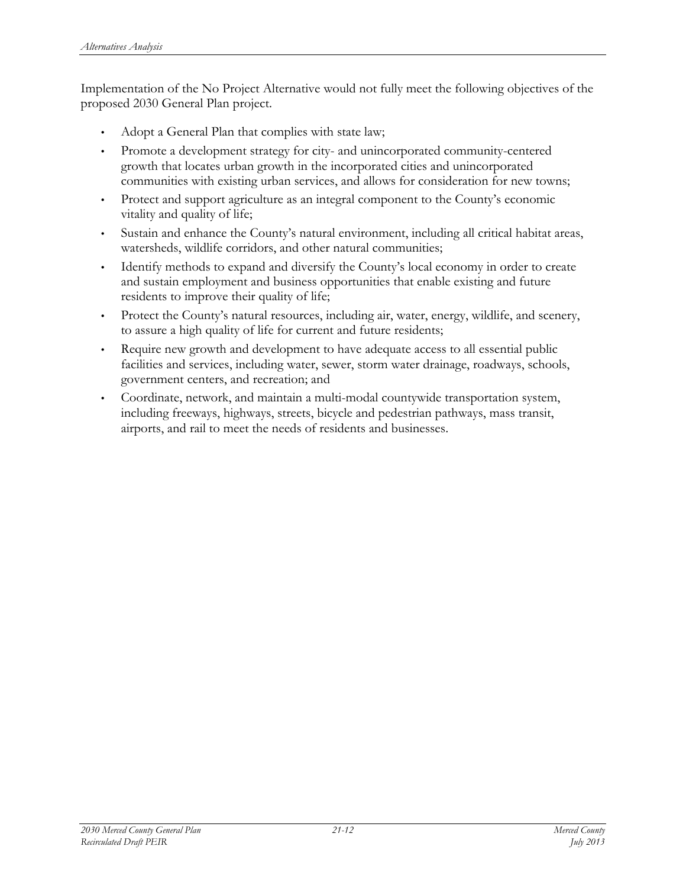Implementation of the No Project Alternative would not fully meet the following objectives of the proposed 2030 General Plan project.

- Adopt a General Plan that complies with state law;
- Promote a development strategy for city- and unincorporated community-centered growth that locates urban growth in the incorporated cities and unincorporated communities with existing urban services, and allows for consideration for new towns;
- Protect and support agriculture as an integral component to the County's economic vitality and quality of life;
- Sustain and enhance the County's natural environment, including all critical habitat areas, watersheds, wildlife corridors, and other natural communities;
- Identify methods to expand and diversify the County's local economy in order to create and sustain employment and business opportunities that enable existing and future residents to improve their quality of life;
- Protect the County's natural resources, including air, water, energy, wildlife, and scenery, to assure a high quality of life for current and future residents;
- Require new growth and development to have adequate access to all essential public facilities and services, including water, sewer, storm water drainage, roadways, schools, government centers, and recreation; and
- Coordinate, network, and maintain a multi-modal countywide transportation system, including freeways, highways, streets, bicycle and pedestrian pathways, mass transit, airports, and rail to meet the needs of residents and businesses.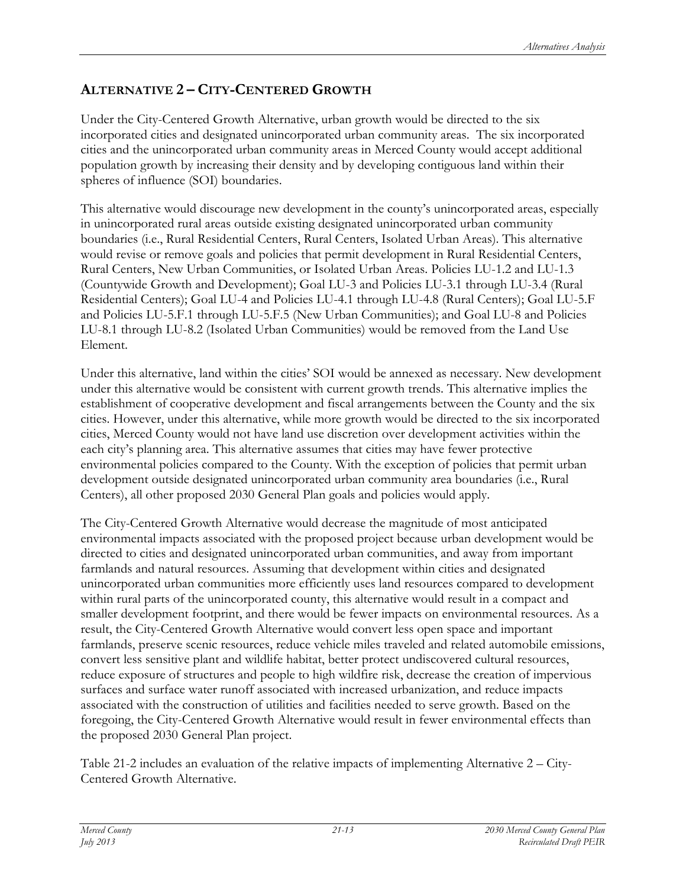# **ALTERNATIVE 2 – CITY-CENTERED GROWTH**

Under the City-Centered Growth Alternative, urban growth would be directed to the six incorporated cities and designated unincorporated urban community areas. The six incorporated cities and the unincorporated urban community areas in Merced County would accept additional population growth by increasing their density and by developing contiguous land within their spheres of influence (SOI) boundaries.

This alternative would discourage new development in the county's unincorporated areas, especially in unincorporated rural areas outside existing designated unincorporated urban community boundaries (i.e., Rural Residential Centers, Rural Centers, Isolated Urban Areas). This alternative would revise or remove goals and policies that permit development in Rural Residential Centers, Rural Centers, New Urban Communities, or Isolated Urban Areas. Policies LU-1.2 and LU-1.3 (Countywide Growth and Development); Goal LU-3 and Policies LU-3.1 through LU-3.4 (Rural Residential Centers); Goal LU-4 and Policies LU-4.1 through LU-4.8 (Rural Centers); Goal LU-5.F and Policies LU-5.F.1 through LU-5.F.5 (New Urban Communities); and Goal LU-8 and Policies LU-8.1 through LU-8.2 (Isolated Urban Communities) would be removed from the Land Use Element.

Under this alternative, land within the cities' SOI would be annexed as necessary. New development under this alternative would be consistent with current growth trends. This alternative implies the establishment of cooperative development and fiscal arrangements between the County and the six cities. However, under this alternative, while more growth would be directed to the six incorporated cities, Merced County would not have land use discretion over development activities within the each city's planning area. This alternative assumes that cities may have fewer protective environmental policies compared to the County. With the exception of policies that permit urban development outside designated unincorporated urban community area boundaries (i.e., Rural Centers), all other proposed 2030 General Plan goals and policies would apply.

The City-Centered Growth Alternative would decrease the magnitude of most anticipated environmental impacts associated with the proposed project because urban development would be directed to cities and designated unincorporated urban communities, and away from important farmlands and natural resources. Assuming that development within cities and designated unincorporated urban communities more efficiently uses land resources compared to development within rural parts of the unincorporated county, this alternative would result in a compact and smaller development footprint, and there would be fewer impacts on environmental resources. As a result, the City-Centered Growth Alternative would convert less open space and important farmlands, preserve scenic resources, reduce vehicle miles traveled and related automobile emissions, convert less sensitive plant and wildlife habitat, better protect undiscovered cultural resources, reduce exposure of structures and people to high wildfire risk, decrease the creation of impervious surfaces and surface water runoff associated with increased urbanization, and reduce impacts associated with the construction of utilities and facilities needed to serve growth. Based on the foregoing, the City-Centered Growth Alternative would result in fewer environmental effects than the proposed 2030 General Plan project.

Table 21-2 includes an evaluation of the relative impacts of implementing Alternative 2 – City-Centered Growth Alternative.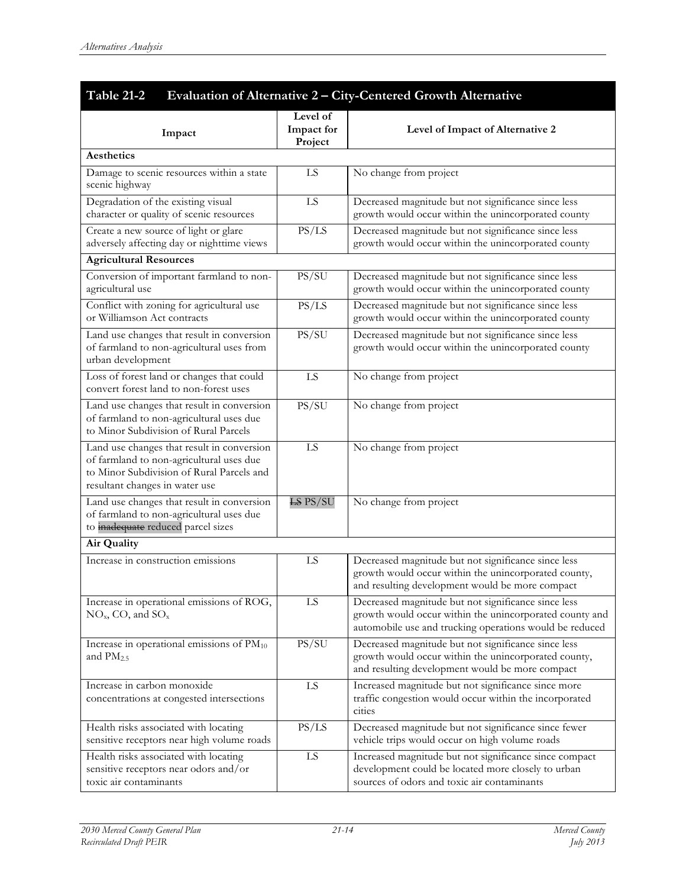| Table 21-2<br>Evaluation of Alternative 2 - City-Centered Growth Alternative                                                                                          |                                   |                                                                                                                                                                           |
|-----------------------------------------------------------------------------------------------------------------------------------------------------------------------|-----------------------------------|---------------------------------------------------------------------------------------------------------------------------------------------------------------------------|
| Impact                                                                                                                                                                | Level of<br>Impact for<br>Project | Level of Impact of Alternative 2                                                                                                                                          |
| Aesthetics                                                                                                                                                            |                                   |                                                                                                                                                                           |
| Damage to scenic resources within a state<br>scenic highway                                                                                                           | LS                                | No change from project                                                                                                                                                    |
| Degradation of the existing visual<br>character or quality of scenic resources                                                                                        | LS                                | Decreased magnitude but not significance since less<br>growth would occur within the unincorporated county                                                                |
| Create a new source of light or glare<br>adversely affecting day or nighttime views                                                                                   | PS/LS                             | Decreased magnitude but not significance since less<br>growth would occur within the unincorporated county                                                                |
| <b>Agricultural Resources</b>                                                                                                                                         |                                   |                                                                                                                                                                           |
| Conversion of important farmland to non-<br>agricultural use                                                                                                          | PS/SU                             | Decreased magnitude but not significance since less<br>growth would occur within the unincorporated county                                                                |
| Conflict with zoning for agricultural use<br>or Williamson Act contracts                                                                                              | PS/LS                             | Decreased magnitude but not significance since less<br>growth would occur within the unincorporated county                                                                |
| Land use changes that result in conversion<br>of farmland to non-agricultural uses from<br>urban development                                                          | PS/SU                             | Decreased magnitude but not significance since less<br>growth would occur within the unincorporated county                                                                |
| Loss of forest land or changes that could<br>convert forest land to non-forest uses                                                                                   | LS                                | No change from project                                                                                                                                                    |
| Land use changes that result in conversion<br>of farmland to non-agricultural uses due<br>to Minor Subdivision of Rural Parcels                                       | PS/SU                             | No change from project                                                                                                                                                    |
| Land use changes that result in conversion<br>of farmland to non-agricultural uses due<br>to Minor Subdivision of Rural Parcels and<br>resultant changes in water use | LS                                | No change from project                                                                                                                                                    |
| Land use changes that result in conversion<br>of farmland to non-agricultural uses due<br>to inadequate reduced parcel sizes                                          | <b>LS PS/SU</b>                   | No change from project                                                                                                                                                    |
| <b>Air Quality</b>                                                                                                                                                    |                                   |                                                                                                                                                                           |
| Increase in construction emissions                                                                                                                                    | LS                                | Decreased magnitude but not significance since less<br>growth would occur within the unincorporated county,<br>and resulting development would be more compact            |
| Increase in operational emissions of ROG,<br>$NOx, CO, and SOx$                                                                                                       | LS                                | Decreased magnitude but not significance since less<br>growth would occur within the unincorporated county and<br>automobile use and trucking operations would be reduced |
| Increase in operational emissions of $PM_{10}$<br>and $PM2.5$                                                                                                         | PS/SU                             | Decreased magnitude but not significance since less<br>growth would occur within the unincorporated county,<br>and resulting development would be more compact            |
| Increase in carbon monoxide<br>concentrations at congested intersections                                                                                              | LS                                | Increased magnitude but not significance since more<br>traffic congestion would occur within the incorporated<br>cities                                                   |
| Health risks associated with locating<br>sensitive receptors near high volume roads                                                                                   | PS/LS                             | Decreased magnitude but not significance since fewer<br>vehicle trips would occur on high volume roads                                                                    |
| Health risks associated with locating<br>sensitive receptors near odors and/or<br>toxic air contaminants                                                              | LS                                | Increased magnitude but not significance since compact<br>development could be located more closely to urban<br>sources of odors and toxic air contaminants               |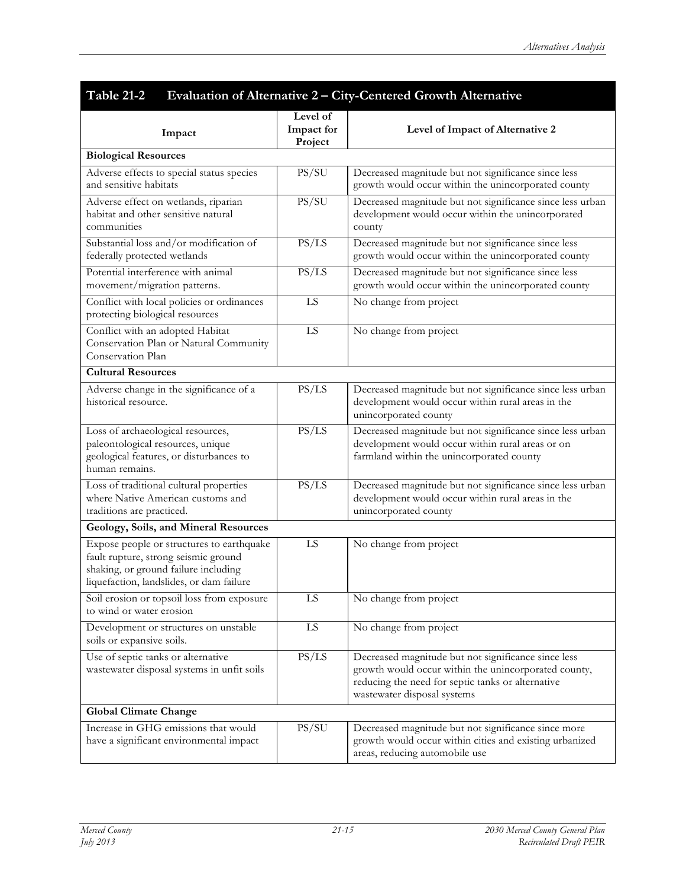| Table 21-2<br>Evaluation of Alternative 2 - City-Centered Growth Alternative                                                                                          |                                   |                                                                                                                                                                                                 |
|-----------------------------------------------------------------------------------------------------------------------------------------------------------------------|-----------------------------------|-------------------------------------------------------------------------------------------------------------------------------------------------------------------------------------------------|
| Impact                                                                                                                                                                | Level of<br>Impact for<br>Project | Level of Impact of Alternative 2                                                                                                                                                                |
| <b>Biological Resources</b>                                                                                                                                           |                                   |                                                                                                                                                                                                 |
| Adverse effects to special status species<br>and sensitive habitats                                                                                                   | PS/SU                             | Decreased magnitude but not significance since less<br>growth would occur within the unincorporated county                                                                                      |
| Adverse effect on wetlands, riparian<br>habitat and other sensitive natural<br>communities                                                                            | PS/SU                             | Decreased magnitude but not significance since less urban<br>development would occur within the unincorporated<br>county                                                                        |
| Substantial loss and/or modification of<br>federally protected wetlands                                                                                               | PS/LS                             | Decreased magnitude but not significance since less<br>growth would occur within the unincorporated county                                                                                      |
| Potential interference with animal<br>movement/migration patterns.                                                                                                    | PS/LS                             | Decreased magnitude but not significance since less<br>growth would occur within the unincorporated county                                                                                      |
| Conflict with local policies or ordinances<br>protecting biological resources                                                                                         | LS                                | No change from project                                                                                                                                                                          |
| Conflict with an adopted Habitat<br>Conservation Plan or Natural Community<br>Conservation Plan                                                                       | LS                                | No change from project                                                                                                                                                                          |
| <b>Cultural Resources</b>                                                                                                                                             |                                   |                                                                                                                                                                                                 |
| Adverse change in the significance of a<br>historical resource.                                                                                                       | PS/LS                             | Decreased magnitude but not significance since less urban<br>development would occur within rural areas in the<br>unincorporated county                                                         |
| Loss of archaeological resources,<br>paleontological resources, unique<br>geological features, or disturbances to<br>human remains.                                   | PS/LS                             | Decreased magnitude but not significance since less urban<br>development would occur within rural areas or on<br>farmland within the unincorporated county                                      |
| Loss of traditional cultural properties<br>where Native American customs and<br>traditions are practiced.                                                             | PS/LS                             | Decreased magnitude but not significance since less urban<br>development would occur within rural areas in the<br>unincorporated county                                                         |
| Geology, Soils, and Mineral Resources                                                                                                                                 |                                   |                                                                                                                                                                                                 |
| Expose people or structures to earthquake<br>fault rupture, strong seismic ground<br>shaking, or ground failure including<br>liquefaction, landslides, or dam failure | LS                                | No change from project                                                                                                                                                                          |
| Soil erosion or topsoil loss from exposure<br>to wind or water erosion                                                                                                | LS                                | No change from project                                                                                                                                                                          |
| Development or structures on unstable<br>soils or expansive soils.                                                                                                    | LS.                               | No change from project                                                                                                                                                                          |
| Use of septic tanks or alternative<br>wastewater disposal systems in unfit soils                                                                                      | PS/LS                             | Decreased magnitude but not significance since less<br>growth would occur within the unincorporated county,<br>reducing the need for septic tanks or alternative<br>wastewater disposal systems |
| <b>Global Climate Change</b>                                                                                                                                          |                                   |                                                                                                                                                                                                 |
| Increase in GHG emissions that would<br>have a significant environmental impact                                                                                       | PS/SU                             | Decreased magnitude but not significance since more<br>growth would occur within cities and existing urbanized<br>areas, reducing automobile use                                                |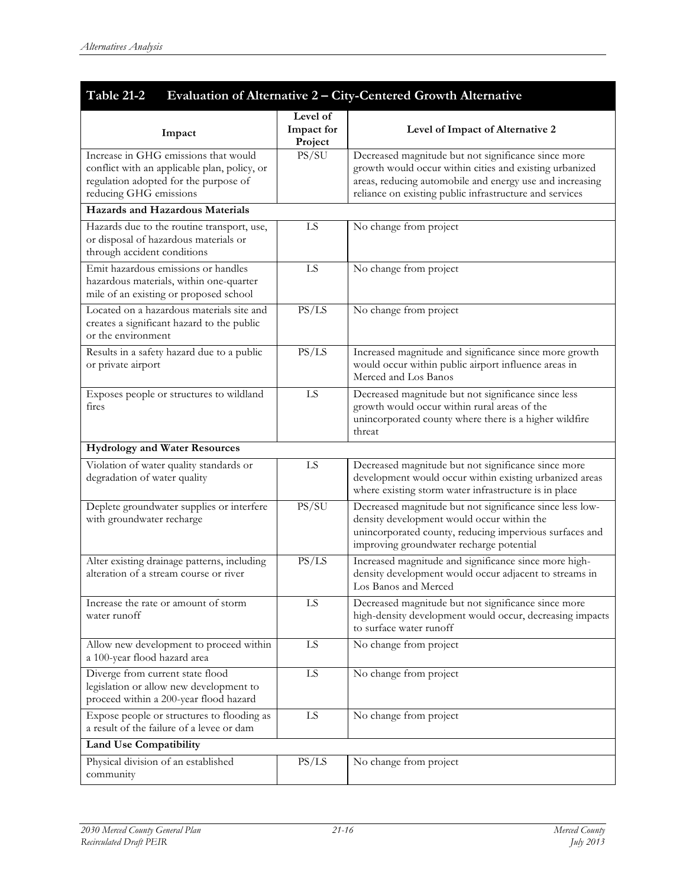| Table 21-2<br>Evaluation of Alternative 2 - City-Centered Growth Alternative                                                                            |                                   |                                                                                                                                                                                                                                       |
|---------------------------------------------------------------------------------------------------------------------------------------------------------|-----------------------------------|---------------------------------------------------------------------------------------------------------------------------------------------------------------------------------------------------------------------------------------|
| Impact                                                                                                                                                  | Level of<br>Impact for<br>Project | Level of Impact of Alternative 2                                                                                                                                                                                                      |
| Increase in GHG emissions that would<br>conflict with an applicable plan, policy, or<br>regulation adopted for the purpose of<br>reducing GHG emissions | PS/SU                             | Decreased magnitude but not significance since more<br>growth would occur within cities and existing urbanized<br>areas, reducing automobile and energy use and increasing<br>reliance on existing public infrastructure and services |
| <b>Hazards and Hazardous Materials</b>                                                                                                                  |                                   |                                                                                                                                                                                                                                       |
| Hazards due to the routine transport, use,<br>or disposal of hazardous materials or<br>through accident conditions                                      | LS                                | No change from project                                                                                                                                                                                                                |
| Emit hazardous emissions or handles<br>hazardous materials, within one-quarter<br>mile of an existing or proposed school                                | LS                                | No change from project                                                                                                                                                                                                                |
| Located on a hazardous materials site and<br>creates a significant hazard to the public<br>or the environment                                           | PS/LS                             | No change from project                                                                                                                                                                                                                |
| Results in a safety hazard due to a public<br>or private airport                                                                                        | PS/LS                             | Increased magnitude and significance since more growth<br>would occur within public airport influence areas in<br>Merced and Los Banos                                                                                                |
| Exposes people or structures to wildland<br>fires                                                                                                       | LS                                | Decreased magnitude but not significance since less<br>growth would occur within rural areas of the<br>unincorporated county where there is a higher wildfire<br>threat                                                               |
| <b>Hydrology and Water Resources</b>                                                                                                                    |                                   |                                                                                                                                                                                                                                       |
| Violation of water quality standards or<br>degradation of water quality                                                                                 | LS                                | Decreased magnitude but not significance since more<br>development would occur within existing urbanized areas<br>where existing storm water infrastructure is in place                                                               |
| Deplete groundwater supplies or interfere<br>with groundwater recharge                                                                                  | PS/SU                             | Decreased magnitude but not significance since less low-<br>density development would occur within the<br>unincorporated county, reducing impervious surfaces and<br>improving groundwater recharge potential                         |
| Alter existing drainage patterns, including<br>alteration of a stream course or river                                                                   | PS/LS                             | Increased magnitude and significance since more high-<br>density development would occur adjacent to streams in<br>Los Banos and Merced                                                                                               |
| Increase the rate or amount of storm<br>water runoff                                                                                                    | LS                                | Decreased magnitude but not significance since more<br>high-density development would occur, decreasing impacts<br>to surface water runoff                                                                                            |
| Allow new development to proceed within<br>a 100-year flood hazard area                                                                                 | ${\rm LS}$                        | No change from project                                                                                                                                                                                                                |
| Diverge from current state flood<br>legislation or allow new development to<br>proceed within a 200-year flood hazard                                   | ${\rm LS}$                        | No change from project                                                                                                                                                                                                                |
| Expose people or structures to flooding as<br>a result of the failure of a levee or dam                                                                 | LS                                | No change from project                                                                                                                                                                                                                |
| <b>Land Use Compatibility</b>                                                                                                                           |                                   |                                                                                                                                                                                                                                       |
| Physical division of an established<br>community                                                                                                        | PS/LS                             | No change from project                                                                                                                                                                                                                |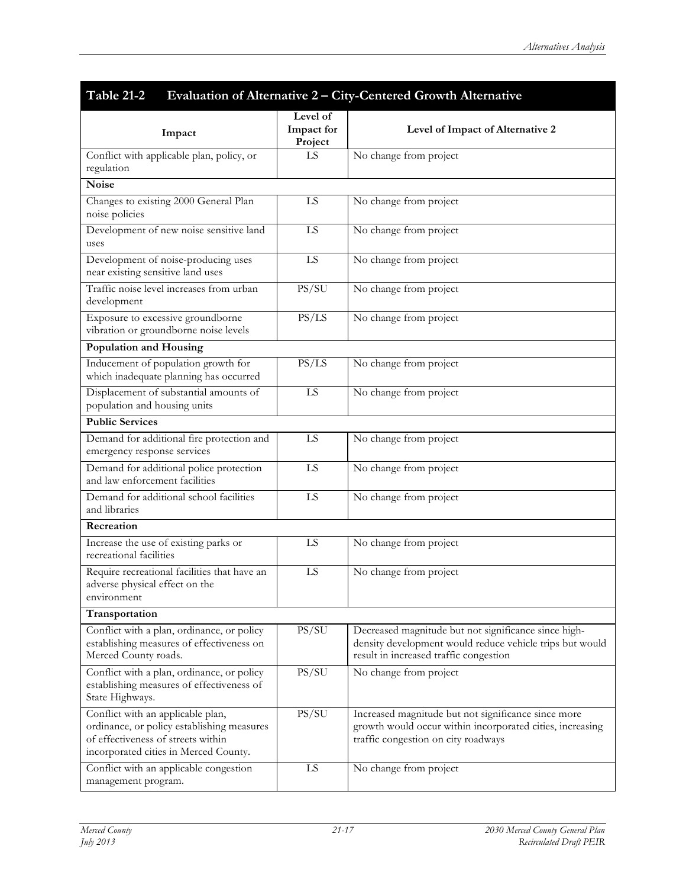| Table 21-2<br>Evaluation of Alternative 2 - City-Centered Growth Alternative                                                                                   |                                   |                                                                                                                                                            |
|----------------------------------------------------------------------------------------------------------------------------------------------------------------|-----------------------------------|------------------------------------------------------------------------------------------------------------------------------------------------------------|
| Impact                                                                                                                                                         | Level of<br>Impact for<br>Project | Level of Impact of Alternative 2                                                                                                                           |
| Conflict with applicable plan, policy, or<br>regulation                                                                                                        | LS                                | No change from project                                                                                                                                     |
| <b>Noise</b>                                                                                                                                                   |                                   |                                                                                                                                                            |
| Changes to existing 2000 General Plan<br>noise policies                                                                                                        | LS                                | No change from project                                                                                                                                     |
| Development of new noise sensitive land<br>uses                                                                                                                | LS                                | No change from project                                                                                                                                     |
| Development of noise-producing uses<br>near existing sensitive land uses                                                                                       | LS                                | No change from project                                                                                                                                     |
| Traffic noise level increases from urban<br>development                                                                                                        | PS/SU                             | No change from project                                                                                                                                     |
| Exposure to excessive groundborne<br>vibration or groundborne noise levels                                                                                     | PS/LS                             | No change from project                                                                                                                                     |
| <b>Population and Housing</b>                                                                                                                                  |                                   |                                                                                                                                                            |
| Inducement of population growth for<br>which inadequate planning has occurred                                                                                  | PS/LS                             | No change from project                                                                                                                                     |
| Displacement of substantial amounts of<br>population and housing units                                                                                         | LS                                | No change from project                                                                                                                                     |
| <b>Public Services</b>                                                                                                                                         |                                   |                                                                                                                                                            |
| Demand for additional fire protection and<br>emergency response services                                                                                       | LS                                | No change from project                                                                                                                                     |
| Demand for additional police protection<br>and law enforcement facilities                                                                                      | LS                                | No change from project                                                                                                                                     |
| Demand for additional school facilities<br>and libraries                                                                                                       | LS                                | No change from project                                                                                                                                     |
| Recreation                                                                                                                                                     |                                   |                                                                                                                                                            |
| Increase the use of existing parks or<br>recreational facilities                                                                                               | LS                                | No change from project                                                                                                                                     |
| Require recreational facilities that have an<br>adverse physical effect on the<br>environment                                                                  | LS                                | No change from project                                                                                                                                     |
| Transportation                                                                                                                                                 |                                   |                                                                                                                                                            |
| Conflict with a plan, ordinance, or policy<br>establishing measures of effectiveness on<br>Merced County roads.                                                | PS/SU                             | Decreased magnitude but not significance since high-<br>density development would reduce vehicle trips but would<br>result in increased traffic congestion |
| Conflict with a plan, ordinance, or policy<br>establishing measures of effectiveness of<br>State Highways.                                                     | PS/SU                             | No change from project                                                                                                                                     |
| Conflict with an applicable plan,<br>ordinance, or policy establishing measures<br>of effectiveness of streets within<br>incorporated cities in Merced County. | PS/SU                             | Increased magnitude but not significance since more<br>growth would occur within incorporated cities, increasing<br>traffic congestion on city roadways    |
| Conflict with an applicable congestion<br>management program.                                                                                                  | LS                                | No change from project                                                                                                                                     |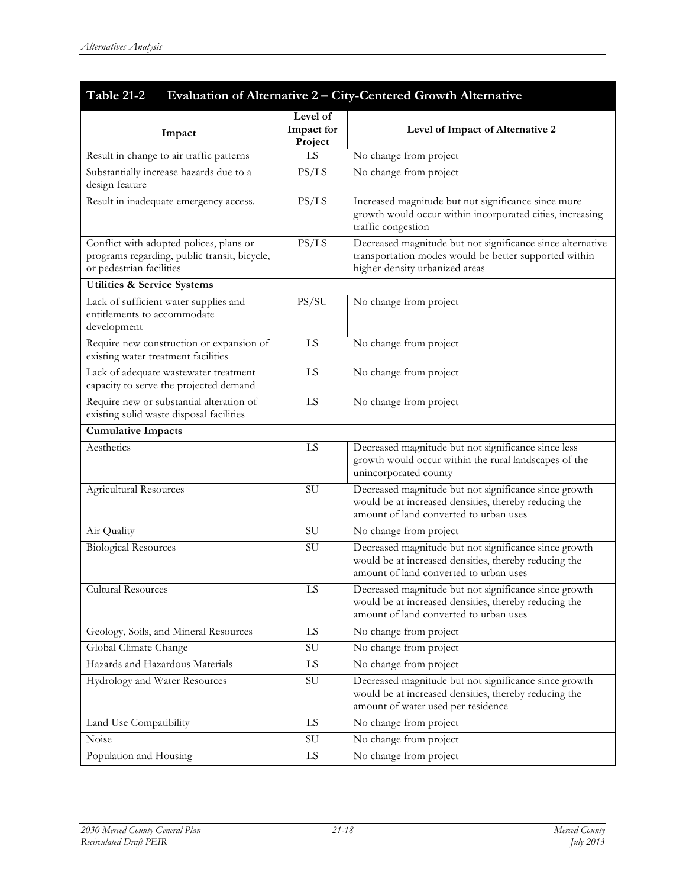| Impact                                                                                                              | Level of<br>Impact for<br>Project | Level of Impact of Alternative 2                                                                                                                         |
|---------------------------------------------------------------------------------------------------------------------|-----------------------------------|----------------------------------------------------------------------------------------------------------------------------------------------------------|
| Result in change to air traffic patterns                                                                            | LS                                | No change from project                                                                                                                                   |
| Substantially increase hazards due to a<br>design feature                                                           | PS/LS                             | No change from project                                                                                                                                   |
| Result in inadequate emergency access.                                                                              | PS/LS                             | Increased magnitude but not significance since more<br>growth would occur within incorporated cities, increasing<br>traffic congestion                   |
| Conflict with adopted polices, plans or<br>programs regarding, public transit, bicycle,<br>or pedestrian facilities | PS/LS                             | Decreased magnitude but not significance since alternative<br>transportation modes would be better supported within<br>higher-density urbanized areas    |
| <b>Utilities &amp; Service Systems</b>                                                                              |                                   |                                                                                                                                                          |
| Lack of sufficient water supplies and<br>entitlements to accommodate<br>development                                 | PS/SU                             | No change from project                                                                                                                                   |
| Require new construction or expansion of<br>existing water treatment facilities                                     | LS                                | No change from project                                                                                                                                   |
| Lack of adequate wastewater treatment<br>capacity to serve the projected demand                                     | LS                                | No change from project                                                                                                                                   |
| Require new or substantial alteration of<br>existing solid waste disposal facilities                                | LS                                | No change from project                                                                                                                                   |
| <b>Cumulative Impacts</b>                                                                                           |                                   |                                                                                                                                                          |
| Aesthetics                                                                                                          | LS                                | Decreased magnitude but not significance since less<br>growth would occur within the rural landscapes of the<br>unincorporated county                    |
| Agricultural Resources                                                                                              | SU                                | Decreased magnitude but not significance since growth<br>would be at increased densities, thereby reducing the<br>amount of land converted to urban uses |
| Air Quality                                                                                                         | SU                                | No change from project                                                                                                                                   |
| <b>Biological Resources</b>                                                                                         | SU                                | Decreased magnitude but not significance since growth<br>would be at increased densities, thereby reducing the<br>amount of land converted to urban uses |
| Cultural Resources                                                                                                  | ${\rm LS}$                        | Decreased magnitude but not significance since growth<br>would be at increased densities, thereby reducing the<br>amount of land converted to urban uses |
| Geology, Soils, and Mineral Resources                                                                               | LS                                | No change from project                                                                                                                                   |
| Global Climate Change                                                                                               | SU                                | No change from project                                                                                                                                   |
| Hazards and Hazardous Materials                                                                                     | LS                                | No change from project                                                                                                                                   |
| Hydrology and Water Resources                                                                                       | ${\rm SU}$                        | Decreased magnitude but not significance since growth<br>would be at increased densities, thereby reducing the<br>amount of water used per residence     |
| Land Use Compatibility                                                                                              | LS                                | No change from project                                                                                                                                   |
| Noise                                                                                                               | $\mathrm{SU}$                     | No change from project                                                                                                                                   |
| Population and Housing                                                                                              | LS                                | No change from project                                                                                                                                   |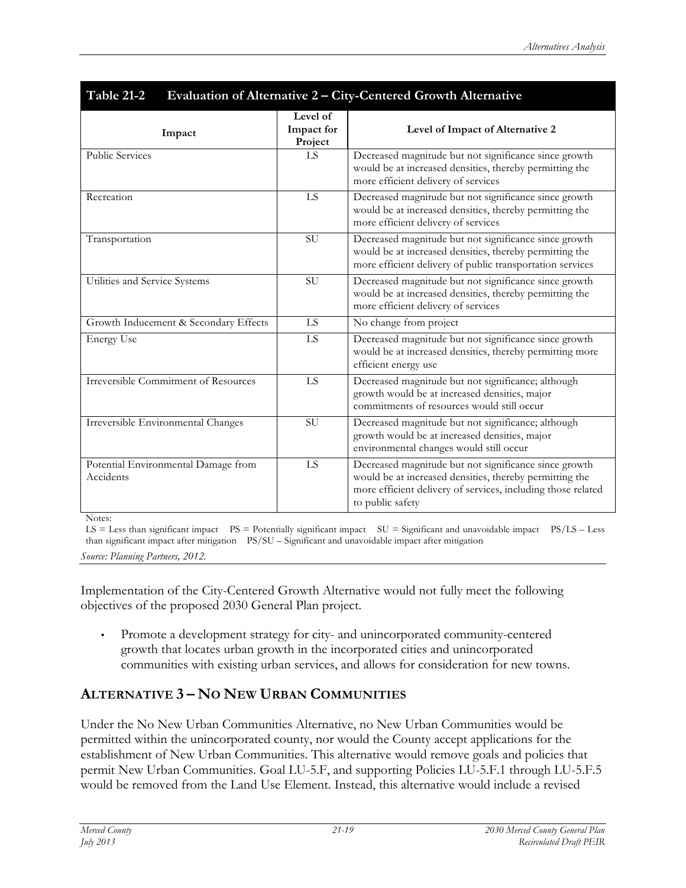| Table 21-2<br>Evaluation of Alternative 2 - City-Centered Growth Alternative |                                   |                                                                                                                                                                                                      |
|------------------------------------------------------------------------------|-----------------------------------|------------------------------------------------------------------------------------------------------------------------------------------------------------------------------------------------------|
| Impact                                                                       | Level of<br>Impact for<br>Project | Level of Impact of Alternative 2                                                                                                                                                                     |
| <b>Public Services</b>                                                       | LS                                | Decreased magnitude but not significance since growth<br>would be at increased densities, thereby permitting the<br>more efficient delivery of services                                              |
| Recreation                                                                   | LS                                | Decreased magnitude but not significance since growth<br>would be at increased densities, thereby permitting the<br>more efficient delivery of services                                              |
| Transportation                                                               | <b>SU</b>                         | Decreased magnitude but not significance since growth<br>would be at increased densities, thereby permitting the<br>more efficient delivery of public transportation services                        |
| Utilities and Service Systems                                                | <b>SU</b>                         | Decreased magnitude but not significance since growth<br>would be at increased densities, thereby permitting the<br>more efficient delivery of services                                              |
| Growth Inducement & Secondary Effects                                        | LS.                               | No change from project                                                                                                                                                                               |
| <b>Energy Use</b>                                                            | LS                                | Decreased magnitude but not significance since growth<br>would be at increased densities, thereby permitting more<br>efficient energy use                                                            |
| Irreversible Commitment of Resources                                         | LS                                | Decreased magnitude but not significance; although<br>growth would be at increased densities, major<br>commitments of resources would still occur                                                    |
| Irreversible Environmental Changes                                           | <b>SU</b>                         | Decreased magnitude but not significance; although<br>growth would be at increased densities, major<br>environmental changes would still occur                                                       |
| Potential Environmental Damage from<br>Accidents                             | LS                                | Decreased magnitude but not significance since growth<br>would be at increased densities, thereby permitting the<br>more efficient delivery of services, including those related<br>to public safety |

Notes:

LS = Less than significant impact PS = Potentially significant impact SU = Significant and unavoidable impact PS/LS – Less than significant impact after mitigation PS/SU – Significant and unavoidable impact after mitigation *Source: Planning Partners, 2012.*

Implementation of the City-Centered Growth Alternative would not fully meet the following objectives of the proposed 2030 General Plan project.

• Promote a development strategy for city- and unincorporated community-centered growth that locates urban growth in the incorporated cities and unincorporated communities with existing urban services, and allows for consideration for new towns.

# **ALTERNATIVE 3 – NO NEW URBAN COMMUNITIES**

Under the No New Urban Communities Alternative, no New Urban Communities would be permitted within the unincorporated county, nor would the County accept applications for the establishment of New Urban Communities. This alternative would remove goals and policies that permit New Urban Communities. Goal LU-5.F, and supporting Policies LU-5.F.1 through LU-5.F.5 would be removed from the Land Use Element. Instead, this alternative would include a revised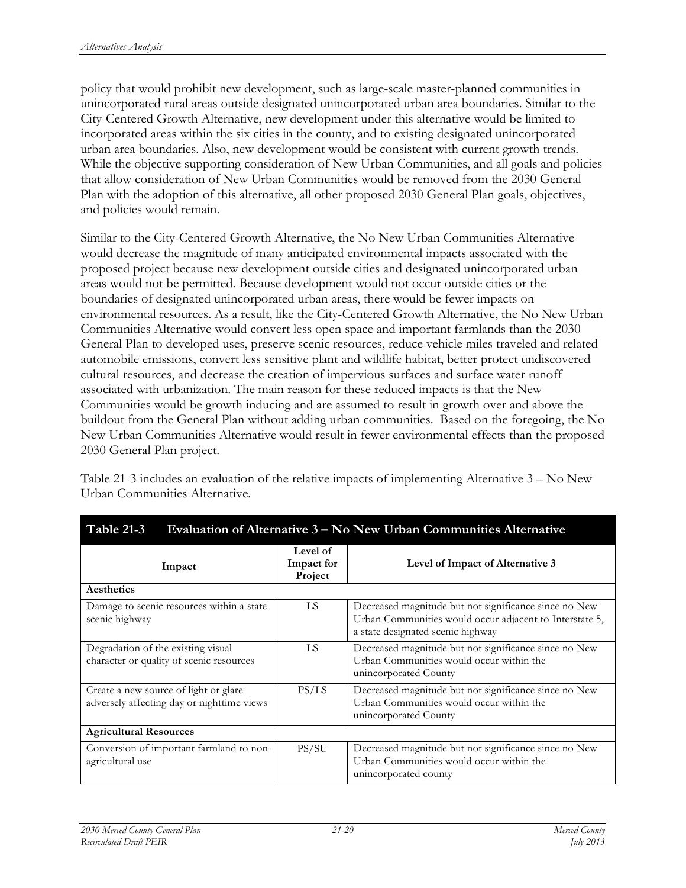policy that would prohibit new development, such as large-scale master-planned communities in unincorporated rural areas outside designated unincorporated urban area boundaries. Similar to the City-Centered Growth Alternative, new development under this alternative would be limited to incorporated areas within the six cities in the county, and to existing designated unincorporated urban area boundaries. Also, new development would be consistent with current growth trends. While the objective supporting consideration of New Urban Communities, and all goals and policies that allow consideration of New Urban Communities would be removed from the 2030 General Plan with the adoption of this alternative, all other proposed 2030 General Plan goals, objectives, and policies would remain.

Similar to the City-Centered Growth Alternative, the No New Urban Communities Alternative would decrease the magnitude of many anticipated environmental impacts associated with the proposed project because new development outside cities and designated unincorporated urban areas would not be permitted. Because development would not occur outside cities or the boundaries of designated unincorporated urban areas, there would be fewer impacts on environmental resources. As a result, like the City-Centered Growth Alternative, the No New Urban Communities Alternative would convert less open space and important farmlands than the 2030 General Plan to developed uses, preserve scenic resources, reduce vehicle miles traveled and related automobile emissions, convert less sensitive plant and wildlife habitat, better protect undiscovered cultural resources, and decrease the creation of impervious surfaces and surface water runoff associated with urbanization. The main reason for these reduced impacts is that the New Communities would be growth inducing and are assumed to result in growth over and above the buildout from the General Plan without adding urban communities. Based on the foregoing, the No New Urban Communities Alternative would result in fewer environmental effects than the proposed 2030 General Plan project.

Table 21-3 includes an evaluation of the relative impacts of implementing Alternative 3 – No New Urban Communities Alternative.

| 1 AVIL 21 J<br>aluation of Antennative 5<br>TWING CIDAN COMMITTEE Internative       |                                   |                                                                                                                                                       |  |
|-------------------------------------------------------------------------------------|-----------------------------------|-------------------------------------------------------------------------------------------------------------------------------------------------------|--|
| Impact                                                                              | Level of<br>Impact for<br>Project | Level of Impact of Alternative 3                                                                                                                      |  |
| Aesthetics                                                                          |                                   |                                                                                                                                                       |  |
| Damage to scenic resources within a state<br>scenic highway                         | LS                                | Decreased magnitude but not significance since no New<br>Urban Communities would occur adjacent to Interstate 5,<br>a state designated scenic highway |  |
| Degradation of the existing visual<br>character or quality of scenic resources      | LS                                | Decreased magnitude but not significance since no New<br>Urban Communities would occur within the<br>unincorporated County                            |  |
| Create a new source of light or glare<br>adversely affecting day or nighttime views | PS/LS                             | Decreased magnitude but not significance since no New<br>Urban Communities would occur within the<br>unincorporated County                            |  |
| <b>Agricultural Resources</b>                                                       |                                   |                                                                                                                                                       |  |
| Conversion of important farmland to non-<br>agricultural use                        | PS/SU                             | Decreased magnitude but not significance since no New<br>Urban Communities would occur within the<br>unincorporated county                            |  |

**Table 21-3 Evaluation of Alternative 3 – No New Urban Communities Alternative**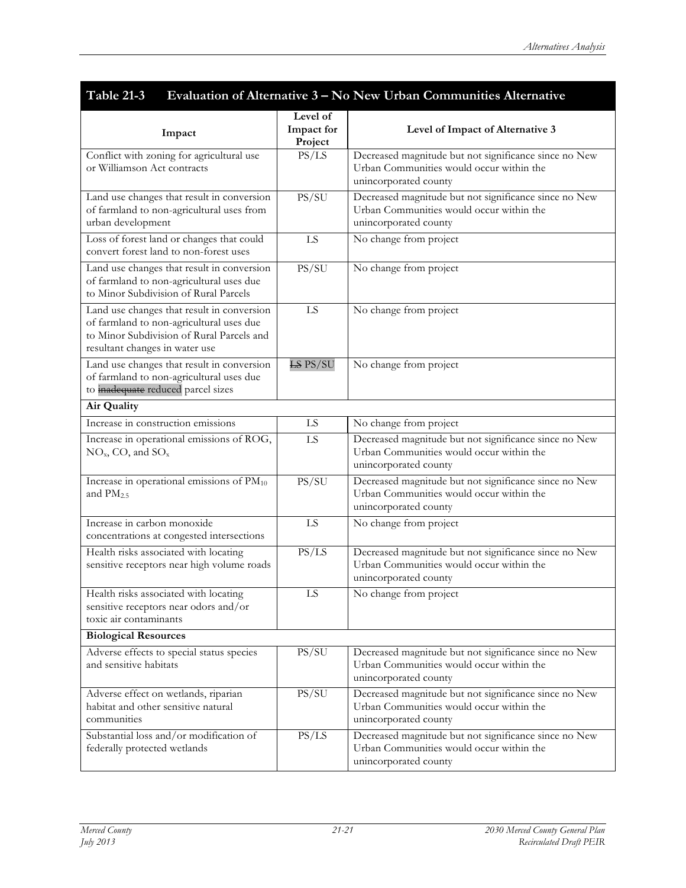| Table 21-3<br>Evaluation of Alternative 3 – No New Urban Communities Alternative                                                                                      |                                   |                                                                                                                            |  |
|-----------------------------------------------------------------------------------------------------------------------------------------------------------------------|-----------------------------------|----------------------------------------------------------------------------------------------------------------------------|--|
| Impact                                                                                                                                                                | Level of<br>Impact for<br>Project | Level of Impact of Alternative 3                                                                                           |  |
| Conflict with zoning for agricultural use<br>or Williamson Act contracts                                                                                              | PS/LS                             | Decreased magnitude but not significance since no New<br>Urban Communities would occur within the<br>unincorporated county |  |
| Land use changes that result in conversion<br>of farmland to non-agricultural uses from<br>urban development                                                          | PS/SU                             | Decreased magnitude but not significance since no New<br>Urban Communities would occur within the<br>unincorporated county |  |
| Loss of forest land or changes that could<br>convert forest land to non-forest uses                                                                                   | LS                                | No change from project                                                                                                     |  |
| Land use changes that result in conversion<br>of farmland to non-agricultural uses due<br>to Minor Subdivision of Rural Parcels                                       | PS/SU                             | No change from project                                                                                                     |  |
| Land use changes that result in conversion<br>of farmland to non-agricultural uses due<br>to Minor Subdivision of Rural Parcels and<br>resultant changes in water use | LS                                | No change from project                                                                                                     |  |
| Land use changes that result in conversion<br>of farmland to non-agricultural uses due<br>to <i>inadequate</i> reduced parcel sizes                                   | <b>LS PS/SU</b>                   | No change from project                                                                                                     |  |
| Air Quality                                                                                                                                                           |                                   |                                                                                                                            |  |
| Increase in construction emissions                                                                                                                                    | <b>LS</b>                         | No change from project                                                                                                     |  |
| Increase in operational emissions of ROG,<br>$NOx$ , CO, and $SOx$                                                                                                    | LS                                | Decreased magnitude but not significance since no New<br>Urban Communities would occur within the<br>unincorporated county |  |
| Increase in operational emissions of PM10<br>and $PM2.5$                                                                                                              | PS/SU                             | Decreased magnitude but not significance since no New<br>Urban Communities would occur within the<br>unincorporated county |  |
| Increase in carbon monoxide<br>concentrations at congested intersections                                                                                              | LS                                | No change from project                                                                                                     |  |
| Health risks associated with locating<br>sensitive receptors near high volume roads                                                                                   | PS/LS                             | Decreased magnitude but not significance since no New<br>Urban Communities would occur within the<br>unincorporated county |  |
| Health risks associated with locating<br>sensitive receptors near odors and/or<br>toxic air contaminants                                                              | $\overline{LS}$                   | No change from project                                                                                                     |  |
| <b>Biological Resources</b>                                                                                                                                           |                                   |                                                                                                                            |  |
| Adverse effects to special status species<br>and sensitive habitats                                                                                                   | PS/SU                             | Decreased magnitude but not significance since no New<br>Urban Communities would occur within the<br>unincorporated county |  |
| Adverse effect on wetlands, riparian<br>habitat and other sensitive natural<br>communities                                                                            | PS/SU                             | Decreased magnitude but not significance since no New<br>Urban Communities would occur within the<br>unincorporated county |  |
| Substantial loss and/or modification of<br>federally protected wetlands                                                                                               | PS/LS                             | Decreased magnitude but not significance since no New<br>Urban Communities would occur within the<br>unincorporated county |  |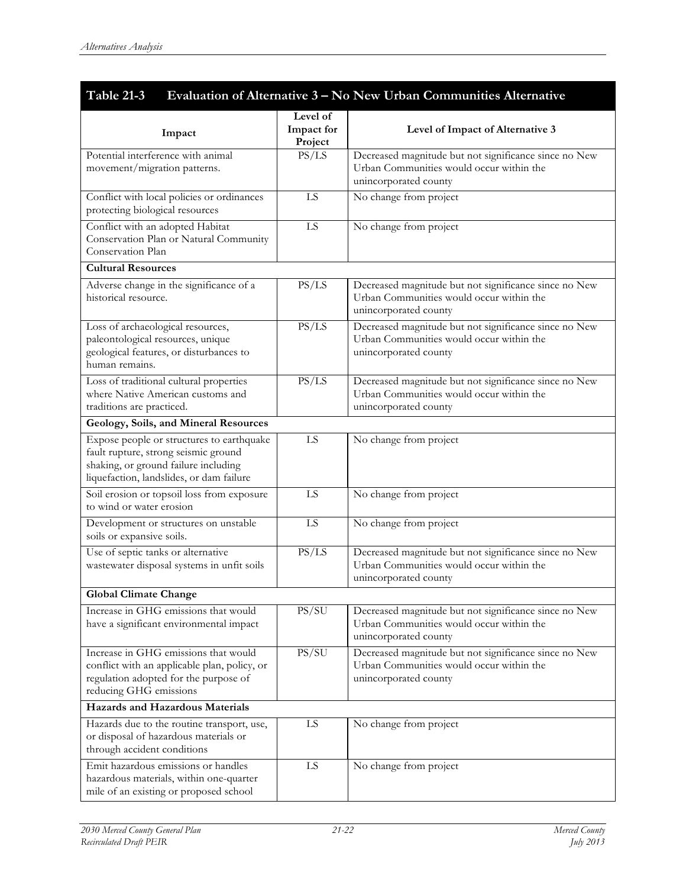| Table 21-3<br>Evaluation of Alternative 3 - No New Urban Communities Alternative                                                                                      |                                   |                                                                                                                            |
|-----------------------------------------------------------------------------------------------------------------------------------------------------------------------|-----------------------------------|----------------------------------------------------------------------------------------------------------------------------|
| Impact                                                                                                                                                                | Level of<br>Impact for<br>Project | Level of Impact of Alternative 3                                                                                           |
| Potential interference with animal<br>movement/migration patterns.                                                                                                    | PS/LS                             | Decreased magnitude but not significance since no New<br>Urban Communities would occur within the<br>unincorporated county |
| Conflict with local policies or ordinances<br>protecting biological resources                                                                                         | LS                                | No change from project                                                                                                     |
| Conflict with an adopted Habitat<br>Conservation Plan or Natural Community<br>Conservation Plan                                                                       | LS.                               | No change from project                                                                                                     |
| <b>Cultural Resources</b>                                                                                                                                             |                                   |                                                                                                                            |
| Adverse change in the significance of a<br>historical resource.                                                                                                       | PS/LS                             | Decreased magnitude but not significance since no New<br>Urban Communities would occur within the<br>unincorporated county |
| Loss of archaeological resources,<br>paleontological resources, unique<br>geological features, or disturbances to<br>human remains.                                   | PS/LS                             | Decreased magnitude but not significance since no New<br>Urban Communities would occur within the<br>unincorporated county |
| Loss of traditional cultural properties<br>where Native American customs and<br>traditions are practiced.                                                             | PS/LS                             | Decreased magnitude but not significance since no New<br>Urban Communities would occur within the<br>unincorporated county |
| Geology, Soils, and Mineral Resources                                                                                                                                 |                                   |                                                                                                                            |
| Expose people or structures to earthquake<br>fault rupture, strong seismic ground<br>shaking, or ground failure including<br>liquefaction, landslides, or dam failure | LS                                | No change from project                                                                                                     |
| Soil erosion or topsoil loss from exposure<br>to wind or water erosion                                                                                                | LS                                | No change from project                                                                                                     |
| Development or structures on unstable<br>soils or expansive soils.                                                                                                    | LS                                | No change from project                                                                                                     |
| Use of septic tanks or alternative<br>wastewater disposal systems in unfit soils                                                                                      | PS/LS                             | Decreased magnitude but not significance since no New<br>Urban Communities would occur within the<br>unincorporated county |
| <b>Global Climate Change</b>                                                                                                                                          |                                   |                                                                                                                            |
| Increase in GHG emissions that would<br>have a significant environmental impact                                                                                       | PS/SU                             | Decreased magnitude but not significance since no New<br>Urban Communities would occur within the<br>unincorporated county |
| Increase in GHG emissions that would<br>conflict with an applicable plan, policy, or<br>regulation adopted for the purpose of<br>reducing GHG emissions               | PS/SU                             | Decreased magnitude but not significance since no New<br>Urban Communities would occur within the<br>unincorporated county |
| <b>Hazards and Hazardous Materials</b>                                                                                                                                |                                   |                                                                                                                            |
| Hazards due to the routine transport, use,<br>or disposal of hazardous materials or<br>through accident conditions                                                    | LS                                | No change from project                                                                                                     |
| Emit hazardous emissions or handles<br>hazardous materials, within one-quarter<br>mile of an existing or proposed school                                              | LS                                | No change from project                                                                                                     |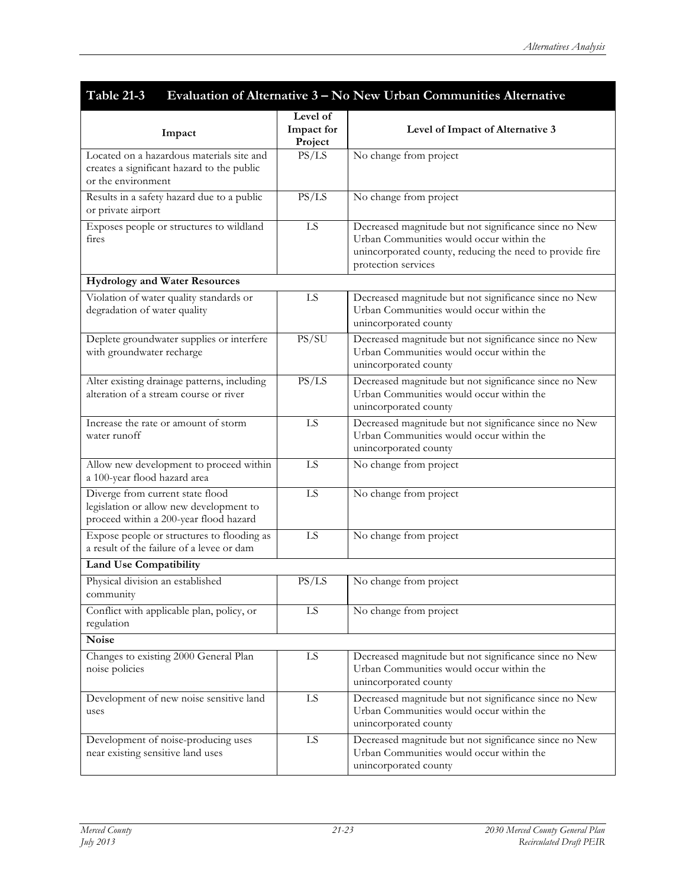| <b>Table 21-3</b><br>Evaluation of Alternative 3 - No New Urban Communities Alternative                               |                                   |                                                                                                                                                                                      |  |
|-----------------------------------------------------------------------------------------------------------------------|-----------------------------------|--------------------------------------------------------------------------------------------------------------------------------------------------------------------------------------|--|
| Impact                                                                                                                | Level of<br>Impact for<br>Project | Level of Impact of Alternative 3                                                                                                                                                     |  |
| Located on a hazardous materials site and<br>creates a significant hazard to the public<br>or the environment         | PS/LS                             | No change from project                                                                                                                                                               |  |
| Results in a safety hazard due to a public<br>or private airport                                                      | PS/LS                             | No change from project                                                                                                                                                               |  |
| Exposes people or structures to wildland<br>fires                                                                     | LS                                | Decreased magnitude but not significance since no New<br>Urban Communities would occur within the<br>unincorporated county, reducing the need to provide fire<br>protection services |  |
| <b>Hydrology and Water Resources</b>                                                                                  |                                   |                                                                                                                                                                                      |  |
| Violation of water quality standards or<br>degradation of water quality                                               | LS                                | Decreased magnitude but not significance since no New<br>Urban Communities would occur within the<br>unincorporated county                                                           |  |
| Deplete groundwater supplies or interfere<br>with groundwater recharge                                                | PS/SU                             | Decreased magnitude but not significance since no New<br>Urban Communities would occur within the<br>unincorporated county                                                           |  |
| Alter existing drainage patterns, including<br>alteration of a stream course or river                                 | PS/LS                             | Decreased magnitude but not significance since no New<br>Urban Communities would occur within the<br>unincorporated county                                                           |  |
| Increase the rate or amount of storm<br>water runoff                                                                  | LS                                | Decreased magnitude but not significance since no New<br>Urban Communities would occur within the<br>unincorporated county                                                           |  |
| Allow new development to proceed within<br>a 100-year flood hazard area                                               | LS                                | No change from project                                                                                                                                                               |  |
| Diverge from current state flood<br>legislation or allow new development to<br>proceed within a 200-year flood hazard | LS                                | No change from project                                                                                                                                                               |  |
| Expose people or structures to flooding as<br>a result of the failure of a levee or dam                               | LS                                | No change from project                                                                                                                                                               |  |
| <b>Land Use Compatibility</b>                                                                                         |                                   |                                                                                                                                                                                      |  |
| Physical division an established<br>community                                                                         | PS/LS                             | No change from project                                                                                                                                                               |  |
| Conflict with applicable plan, policy, or<br>regulation                                                               | LS                                | No change from project                                                                                                                                                               |  |
| <b>Noise</b>                                                                                                          |                                   |                                                                                                                                                                                      |  |
| Changes to existing 2000 General Plan<br>noise policies                                                               | LS                                | Decreased magnitude but not significance since no New<br>Urban Communities would occur within the<br>unincorporated county                                                           |  |
| Development of new noise sensitive land<br>uses                                                                       | LS                                | Decreased magnitude but not significance since no New<br>Urban Communities would occur within the<br>unincorporated county                                                           |  |
| Development of noise-producing uses<br>near existing sensitive land uses                                              | LS                                | Decreased magnitude but not significance since no New<br>Urban Communities would occur within the<br>unincorporated county                                                           |  |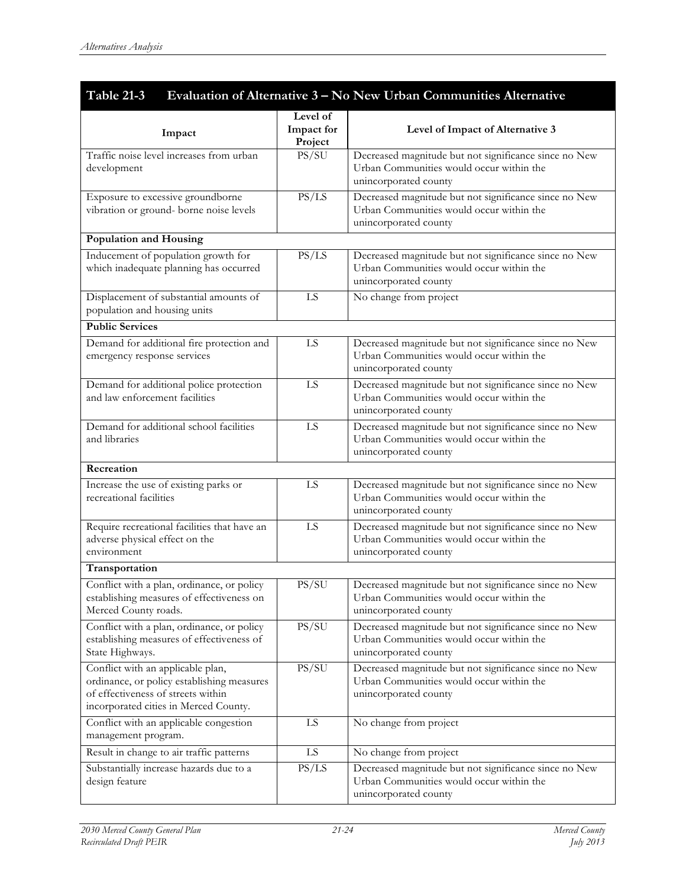| <b>Table 21-3</b><br>Evaluation of Alternative 3 - No New Urban Communities Alternative                                                                        |                                   |                                                                                                                            |  |
|----------------------------------------------------------------------------------------------------------------------------------------------------------------|-----------------------------------|----------------------------------------------------------------------------------------------------------------------------|--|
| Impact                                                                                                                                                         | Level of<br>Impact for<br>Project | Level of Impact of Alternative 3                                                                                           |  |
| Traffic noise level increases from urban<br>development                                                                                                        | PS/SU                             | Decreased magnitude but not significance since no New<br>Urban Communities would occur within the<br>unincorporated county |  |
| Exposure to excessive groundborne<br>vibration or ground- borne noise levels                                                                                   | PS/LS                             | Decreased magnitude but not significance since no New<br>Urban Communities would occur within the<br>unincorporated county |  |
| Population and Housing                                                                                                                                         |                                   |                                                                                                                            |  |
| Inducement of population growth for<br>which inadequate planning has occurred                                                                                  | PS/LS                             | Decreased magnitude but not significance since no New<br>Urban Communities would occur within the<br>unincorporated county |  |
| Displacement of substantial amounts of<br>population and housing units                                                                                         | LS                                | No change from project                                                                                                     |  |
| <b>Public Services</b>                                                                                                                                         |                                   |                                                                                                                            |  |
| Demand for additional fire protection and<br>emergency response services                                                                                       | LS                                | Decreased magnitude but not significance since no New<br>Urban Communities would occur within the<br>unincorporated county |  |
| Demand for additional police protection<br>and law enforcement facilities                                                                                      | LS                                | Decreased magnitude but not significance since no New<br>Urban Communities would occur within the<br>unincorporated county |  |
| Demand for additional school facilities<br>and libraries                                                                                                       | LS                                | Decreased magnitude but not significance since no New<br>Urban Communities would occur within the<br>unincorporated county |  |
| Recreation                                                                                                                                                     |                                   |                                                                                                                            |  |
| Increase the use of existing parks or<br>recreational facilities                                                                                               | LS                                | Decreased magnitude but not significance since no New<br>Urban Communities would occur within the<br>unincorporated county |  |
| Require recreational facilities that have an<br>adverse physical effect on the<br>environment                                                                  | LS                                | Decreased magnitude but not significance since no New<br>Urban Communities would occur within the<br>unincorporated county |  |
| Transportation                                                                                                                                                 |                                   |                                                                                                                            |  |
| Conflict with a plan, ordinance, or policy<br>establishing measures of effectiveness on<br>Merced County roads.                                                | PS/SU                             | Decreased magnitude but not significance since no New<br>Urban Communities would occur within the<br>unincorporated county |  |
| Conflict with a plan, ordinance, or policy<br>establishing measures of effectiveness of<br>State Highways.                                                     | PS/SU                             | Decreased magnitude but not significance since no New<br>Urban Communities would occur within the<br>unincorporated county |  |
| Conflict with an applicable plan,<br>ordinance, or policy establishing measures<br>of effectiveness of streets within<br>incorporated cities in Merced County. | PS/SU                             | Decreased magnitude but not significance since no New<br>Urban Communities would occur within the<br>unincorporated county |  |
| Conflict with an applicable congestion<br>management program.                                                                                                  | LS                                | No change from project                                                                                                     |  |
| Result in change to air traffic patterns                                                                                                                       | LS                                | No change from project                                                                                                     |  |
| Substantially increase hazards due to a<br>design feature                                                                                                      | PS/LS                             | Decreased magnitude but not significance since no New<br>Urban Communities would occur within the<br>unincorporated county |  |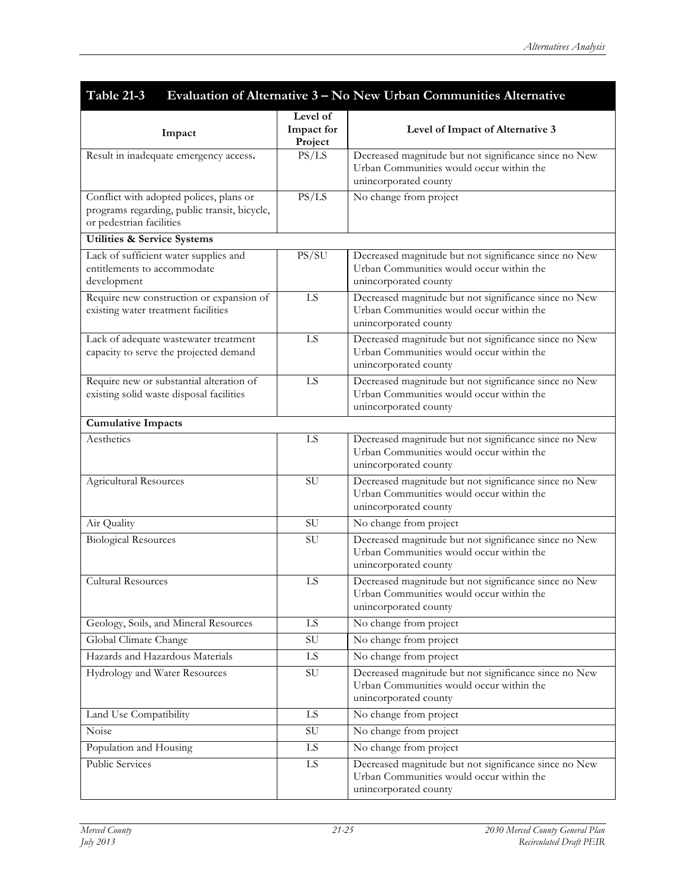| Table 21-3<br>Evaluation of Alternative 3 - No New Urban Communities Alternative                                    |                                   |                                                                                                                            |  |
|---------------------------------------------------------------------------------------------------------------------|-----------------------------------|----------------------------------------------------------------------------------------------------------------------------|--|
| Impact                                                                                                              | Level of<br>Impact for<br>Project | Level of Impact of Alternative 3                                                                                           |  |
| Result in inadequate emergency access.                                                                              | PS/LS                             | Decreased magnitude but not significance since no New<br>Urban Communities would occur within the<br>unincorporated county |  |
| Conflict with adopted polices, plans or<br>programs regarding, public transit, bicycle,<br>or pedestrian facilities | PS/LS                             | No change from project                                                                                                     |  |
| <b>Utilities &amp; Service Systems</b>                                                                              |                                   |                                                                                                                            |  |
| Lack of sufficient water supplies and<br>entitlements to accommodate<br>development                                 | PS/SU                             | Decreased magnitude but not significance since no New<br>Urban Communities would occur within the<br>unincorporated county |  |
| Require new construction or expansion of<br>existing water treatment facilities                                     | LS                                | Decreased magnitude but not significance since no New<br>Urban Communities would occur within the<br>unincorporated county |  |
| Lack of adequate wastewater treatment<br>capacity to serve the projected demand                                     | LS                                | Decreased magnitude but not significance since no New<br>Urban Communities would occur within the<br>unincorporated county |  |
| Require new or substantial alteration of<br>existing solid waste disposal facilities                                | LS                                | Decreased magnitude but not significance since no New<br>Urban Communities would occur within the<br>unincorporated county |  |
| <b>Cumulative Impacts</b>                                                                                           |                                   |                                                                                                                            |  |
| Aesthetics                                                                                                          | LS                                | Decreased magnitude but not significance since no New<br>Urban Communities would occur within the<br>unincorporated county |  |
| Agricultural Resources                                                                                              | SU                                | Decreased magnitude but not significance since no New<br>Urban Communities would occur within the<br>unincorporated county |  |
| Air Quality                                                                                                         | <b>SU</b>                         | No change from project                                                                                                     |  |
| <b>Biological Resources</b>                                                                                         | SU                                | Decreased magnitude but not significance since no New<br>Urban Communities would occur within the<br>unincorporated county |  |
| <b>Cultural Resources</b>                                                                                           | LS                                | Decreased magnitude but not significance since no New<br>Urban Communities would occur within the<br>unincorporated county |  |
| Geology, Soils, and Mineral Resources                                                                               | $\overline{LS}$                   | No change from project                                                                                                     |  |
| Global Climate Change                                                                                               | SU                                | No change from project                                                                                                     |  |
| Hazards and Hazardous Materials                                                                                     | LS                                | No change from project                                                                                                     |  |
| Hydrology and Water Resources                                                                                       | SU                                | Decreased magnitude but not significance since no New<br>Urban Communities would occur within the<br>unincorporated county |  |
| Land Use Compatibility                                                                                              | $\mathop{\rm LS}\nolimits$        | No change from project                                                                                                     |  |
| Noise                                                                                                               | $\overline{\rm SU}$               | No change from project                                                                                                     |  |
| Population and Housing                                                                                              | LS                                | No change from project                                                                                                     |  |
| <b>Public Services</b>                                                                                              | LS                                | Decreased magnitude but not significance since no New<br>Urban Communities would occur within the<br>unincorporated county |  |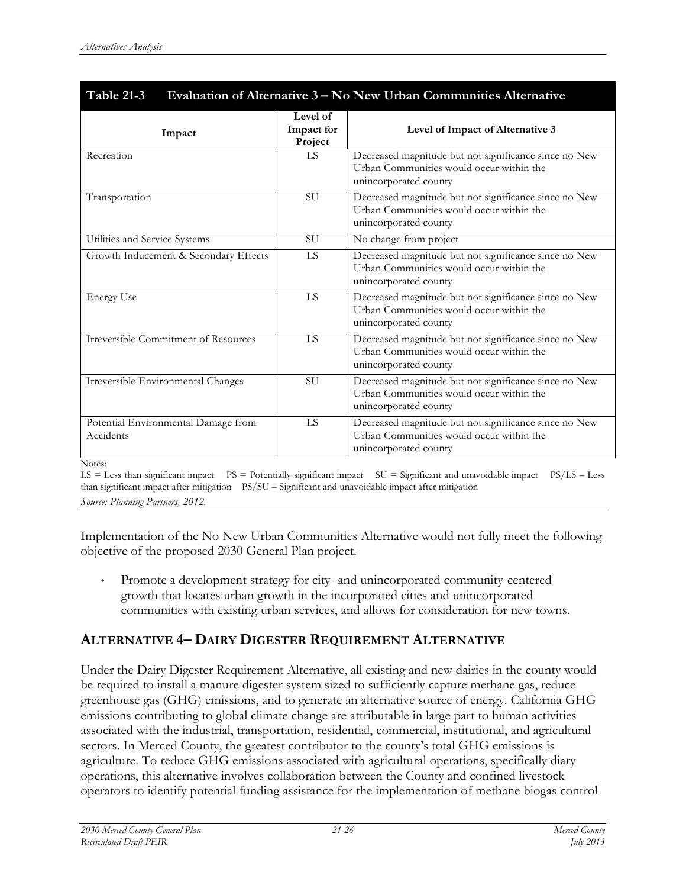| Table 21-3<br>Evaluation of Alternative 3 – No New Urban Communities Alternative |                                   |                                                                                                                            |
|----------------------------------------------------------------------------------|-----------------------------------|----------------------------------------------------------------------------------------------------------------------------|
| Impact                                                                           | Level of<br>Impact for<br>Project | Level of Impact of Alternative 3                                                                                           |
| Recreation                                                                       | LS                                | Decreased magnitude but not significance since no New<br>Urban Communities would occur within the<br>unincorporated county |
| Transportation                                                                   | <b>SU</b>                         | Decreased magnitude but not significance since no New<br>Urban Communities would occur within the<br>unincorporated county |
| Utilities and Service Systems                                                    | SU                                | No change from project                                                                                                     |
| Growth Inducement & Secondary Effects                                            | LS                                | Decreased magnitude but not significance since no New<br>Urban Communities would occur within the<br>unincorporated county |
| <b>Energy Use</b>                                                                | LS                                | Decreased magnitude but not significance since no New<br>Urban Communities would occur within the<br>unincorporated county |
| <b>Irreversible Commitment of Resources</b>                                      | LS                                | Decreased magnitude but not significance since no New<br>Urban Communities would occur within the<br>unincorporated county |
| Irreversible Environmental Changes                                               | <b>SU</b>                         | Decreased magnitude but not significance since no New<br>Urban Communities would occur within the<br>unincorporated county |
| Potential Environmental Damage from<br>Accidents                                 | LS                                | Decreased magnitude but not significance since no New<br>Urban Communities would occur within the<br>unincorporated county |
| Notes:                                                                           |                                   |                                                                                                                            |

LS = Less than significant impact PS = Potentially significant impact SU = Significant and unavoidable impact PS/LS – Less than significant impact after mitigation PS/SU – Significant and unavoidable impact after mitigation *Source: Planning Partners, 2012.*

Implementation of the No New Urban Communities Alternative would not fully meet the following objective of the proposed 2030 General Plan project.

• Promote a development strategy for city- and unincorporated community-centered growth that locates urban growth in the incorporated cities and unincorporated communities with existing urban services, and allows for consideration for new towns.

# **ALTERNATIVE 4– DAIRY DIGESTER REQUIREMENT ALTERNATIVE**

Under the Dairy Digester Requirement Alternative, all existing and new dairies in the county would be required to install a manure digester system sized to sufficiently capture methane gas, reduce greenhouse gas (GHG) emissions, and to generate an alternative source of energy. California GHG emissions contributing to global climate change are attributable in large part to human activities associated with the industrial, transportation, residential, commercial, institutional, and agricultural sectors. In Merced County, the greatest contributor to the county's total GHG emissions is agriculture. To reduce GHG emissions associated with agricultural operations, specifically diary operations, this alternative involves collaboration between the County and confined livestock operators to identify potential funding assistance for the implementation of methane biogas control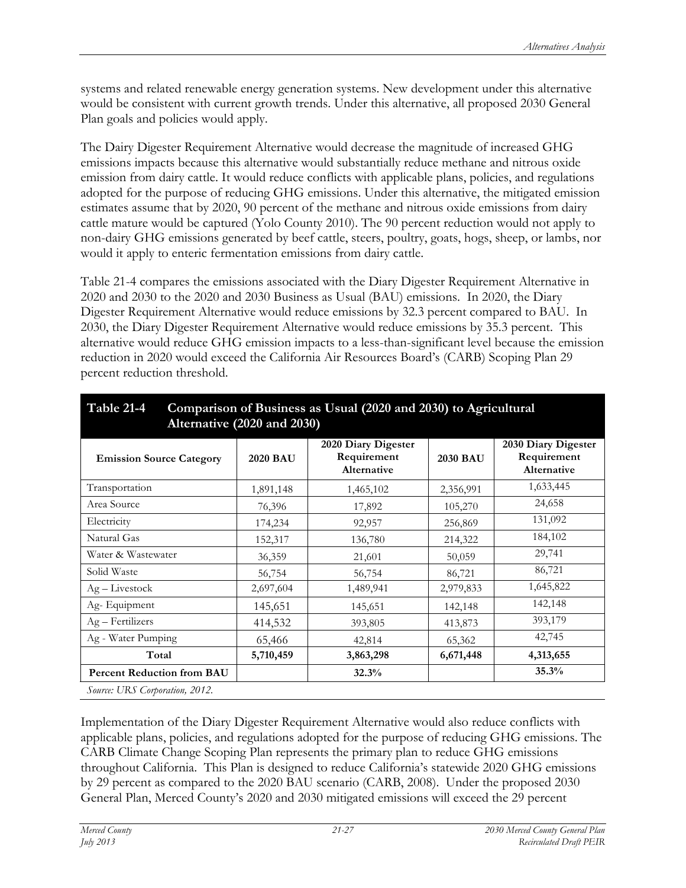systems and related renewable energy generation systems. New development under this alternative would be consistent with current growth trends. Under this alternative, all proposed 2030 General Plan goals and policies would apply.

The Dairy Digester Requirement Alternative would decrease the magnitude of increased GHG emissions impacts because this alternative would substantially reduce methane and nitrous oxide emission from dairy cattle. It would reduce conflicts with applicable plans, policies, and regulations adopted for the purpose of reducing GHG emissions. Under this alternative, the mitigated emission estimates assume that by 2020, 90 percent of the methane and nitrous oxide emissions from dairy cattle mature would be captured (Yolo County 2010). The 90 percent reduction would not apply to non-dairy GHG emissions generated by beef cattle, steers, poultry, goats, hogs, sheep, or lambs, nor would it apply to enteric fermentation emissions from dairy cattle.

Table 21-4 compares the emissions associated with the Diary Digester Requirement Alternative in 2020 and 2030 to the 2020 and 2030 Business as Usual (BAU) emissions. In 2020, the Diary Digester Requirement Alternative would reduce emissions by 32.3 percent compared to BAU. In 2030, the Diary Digester Requirement Alternative would reduce emissions by 35.3 percent. This alternative would reduce GHG emission impacts to a less-than-significant level because the emission reduction in 2020 would exceed the California Air Resources Board's (CARB) Scoping Plan 29 percent reduction threshold.

| Alternative (2020 and 2030)       |                 |                                                   |                 |                                                   |  |
|-----------------------------------|-----------------|---------------------------------------------------|-----------------|---------------------------------------------------|--|
| <b>Emission Source Category</b>   | <b>2020 BAU</b> | 2020 Diary Digester<br>Requirement<br>Alternative | <b>2030 BAU</b> | 2030 Diary Digester<br>Requirement<br>Alternative |  |
| Transportation                    | 1,891,148       | 1,465,102                                         | 2,356,991       | 1,633,445                                         |  |
| Area Source                       | 76,396          | 17,892                                            | 105,270         | 24,658                                            |  |
| Electricity                       | 174,234         | 92,957                                            | 256,869         | 131,092                                           |  |
| Natural Gas                       | 152,317         | 136,780                                           | 214,322         | 184,102                                           |  |
| Water & Wastewater                | 36,359          | 21,601                                            | 50,059          | 29,741                                            |  |
| Solid Waste                       | 56,754          | 56,754                                            | 86,721          | 86,721                                            |  |
| $Ag-Livestock$                    | 2,697,604       | 1,489,941                                         | 2,979,833       | 1,645,822                                         |  |
| Ag-Equipment                      | 145,651         | 145,651                                           | 142,148         | 142,148                                           |  |
| Ag - Fertilizers                  | 414,532         | 393,805                                           | 413,873         | 393,179                                           |  |
| Ag - Water Pumping                | 65,466          | 42,814                                            | 65,362          | 42,745                                            |  |
| Total                             | 5,710,459       | 3,863,298                                         | 6,671,448       | 4,313,655                                         |  |
| <b>Percent Reduction from BAU</b> |                 | 32.3%                                             |                 | 35.3%                                             |  |
| Source: URS Corporation, 2012.    |                 |                                                   |                 |                                                   |  |

| Table 21-4 Comparison of Business as Usual (2020 and 2030) to Agricultural |
|----------------------------------------------------------------------------|
| Alternative (2020 and 2030)                                                |

Implementation of the Diary Digester Requirement Alternative would also reduce conflicts with applicable plans, policies, and regulations adopted for the purpose of reducing GHG emissions. The CARB Climate Change Scoping Plan represents the primary plan to reduce GHG emissions throughout California. This Plan is designed to reduce California's statewide 2020 GHG emissions by 29 percent as compared to the 2020 BAU scenario (CARB, 2008). Under the proposed 2030 General Plan, Merced County's 2020 and 2030 mitigated emissions will exceed the 29 percent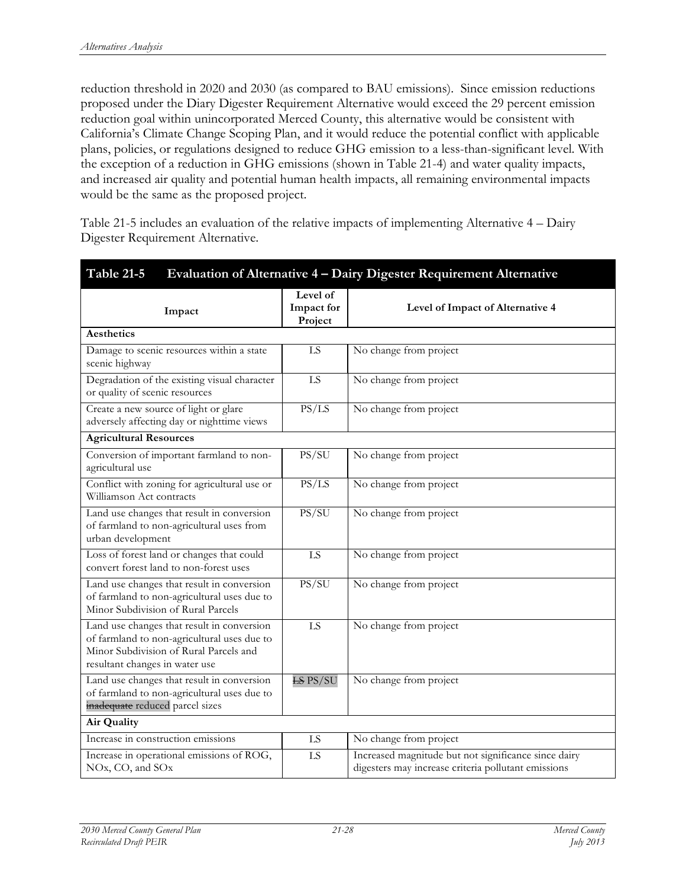reduction threshold in 2020 and 2030 (as compared to BAU emissions). Since emission reductions proposed under the Diary Digester Requirement Alternative would exceed the 29 percent emission reduction goal within unincorporated Merced County, this alternative would be consistent with California's Climate Change Scoping Plan, and it would reduce the potential conflict with applicable plans, policies, or regulations designed to reduce GHG emission to a less-than-significant level. With the exception of a reduction in GHG emissions (shown in Table 21-4) and water quality impacts, and increased air quality and potential human health impacts, all remaining environmental impacts would be the same as the proposed project.

Table 21-5 includes an evaluation of the relative impacts of implementing Alternative 4 – Dairy Digester Requirement Alternative.

| Table 21-5<br>Evaluation of Alternative 4 - Dairy Digester Requirement Alternative                                                                                    |                                   |                                                                                                             |
|-----------------------------------------------------------------------------------------------------------------------------------------------------------------------|-----------------------------------|-------------------------------------------------------------------------------------------------------------|
| Impact                                                                                                                                                                | Level of<br>Impact for<br>Project | Level of Impact of Alternative 4                                                                            |
| Aesthetics                                                                                                                                                            |                                   |                                                                                                             |
| Damage to scenic resources within a state<br>scenic highway                                                                                                           | LS                                | No change from project                                                                                      |
| Degradation of the existing visual character<br>or quality of scenic resources                                                                                        | LS                                | No change from project                                                                                      |
| Create a new source of light or glare<br>adversely affecting day or nighttime views                                                                                   | PS/LS                             | No change from project                                                                                      |
| <b>Agricultural Resources</b>                                                                                                                                         |                                   |                                                                                                             |
| Conversion of important farmland to non-<br>agricultural use                                                                                                          | PS/SU                             | No change from project                                                                                      |
| Conflict with zoning for agricultural use or<br>Williamson Act contracts                                                                                              | PS/LS                             | No change from project                                                                                      |
| Land use changes that result in conversion<br>of farmland to non-agricultural uses from<br>urban development                                                          | PS/SU                             | No change from project                                                                                      |
| Loss of forest land or changes that could<br>convert forest land to non-forest uses                                                                                   | LS                                | No change from project                                                                                      |
| Land use changes that result in conversion<br>of farmland to non-agricultural uses due to<br>Minor Subdivision of Rural Parcels                                       | PS/SU                             | No change from project                                                                                      |
| Land use changes that result in conversion<br>of farmland to non-agricultural uses due to<br>Minor Subdivision of Rural Parcels and<br>resultant changes in water use | LS                                | No change from project                                                                                      |
| Land use changes that result in conversion<br>of farmland to non-agricultural uses due to<br>inadequate reduced parcel sizes                                          | $ES$ PS/SU                        | No change from project                                                                                      |
| Air Quality                                                                                                                                                           |                                   |                                                                                                             |
| Increase in construction emissions                                                                                                                                    | LS                                | No change from project                                                                                      |
| Increase in operational emissions of ROG,<br>NOx, CO, and SOx                                                                                                         | LS                                | Increased magnitude but not significance since dairy<br>digesters may increase criteria pollutant emissions |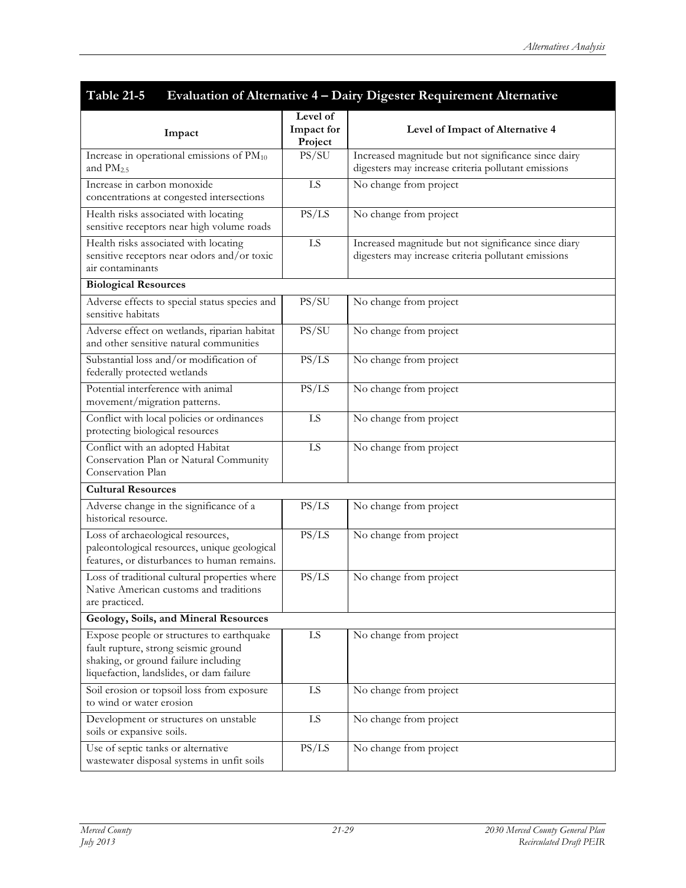| Table 21-5<br>Evaluation of Alternative 4 - Dairy Digester Requirement Alternative                                                                                    |                                   |                                                                                                             |  |
|-----------------------------------------------------------------------------------------------------------------------------------------------------------------------|-----------------------------------|-------------------------------------------------------------------------------------------------------------|--|
| Impact                                                                                                                                                                | Level of<br>Impact for<br>Project | Level of Impact of Alternative 4                                                                            |  |
| Increase in operational emissions of PM <sub>10</sub><br>and $PM2.5$                                                                                                  | PS/SU                             | Increased magnitude but not significance since dairy<br>digesters may increase criteria pollutant emissions |  |
| Increase in carbon monoxide<br>concentrations at congested intersections                                                                                              | ${\rm LS}$                        | No change from project                                                                                      |  |
| Health risks associated with locating<br>sensitive receptors near high volume roads                                                                                   | PS/LS                             | No change from project                                                                                      |  |
| Health risks associated with locating<br>sensitive receptors near odors and/or toxic<br>air contaminants                                                              | LS                                | Increased magnitude but not significance since diary<br>digesters may increase criteria pollutant emissions |  |
| <b>Biological Resources</b>                                                                                                                                           |                                   |                                                                                                             |  |
| Adverse effects to special status species and<br>sensitive habitats                                                                                                   | PS/SU                             | No change from project                                                                                      |  |
| Adverse effect on wetlands, riparian habitat<br>and other sensitive natural communities                                                                               | PS/SU                             | No change from project                                                                                      |  |
| Substantial loss and/or modification of<br>federally protected wetlands                                                                                               | PS/LS                             | No change from project                                                                                      |  |
| Potential interference with animal<br>movement/migration patterns.                                                                                                    | PS/LS                             | No change from project                                                                                      |  |
| Conflict with local policies or ordinances<br>protecting biological resources                                                                                         | LS                                | No change from project                                                                                      |  |
| Conflict with an adopted Habitat<br>Conservation Plan or Natural Community<br>Conservation Plan                                                                       | LS                                | No change from project                                                                                      |  |
| <b>Cultural Resources</b>                                                                                                                                             |                                   |                                                                                                             |  |
| Adverse change in the significance of a<br>historical resource.                                                                                                       | PS/LS                             | No change from project                                                                                      |  |
| Loss of archaeological resources,<br>paleontological resources, unique geological<br>features, or disturbances to human remains.                                      | PS/LS                             | No change from project                                                                                      |  |
| Loss of traditional cultural properties where<br>Native American customs and traditions<br>are practiced.                                                             | PS/LS                             | No change from project                                                                                      |  |
| Geology, Soils, and Mineral Resources                                                                                                                                 |                                   |                                                                                                             |  |
| Expose people or structures to earthquake<br>fault rupture, strong seismic ground<br>shaking, or ground failure including<br>liquefaction, landslides, or dam failure | LS                                | No change from project                                                                                      |  |
| Soil erosion or topsoil loss from exposure<br>to wind or water erosion                                                                                                | ${\rm LS}$                        | No change from project                                                                                      |  |
| Development or structures on unstable<br>soils or expansive soils.                                                                                                    | ${\rm LS}$                        | No change from project                                                                                      |  |
| Use of septic tanks or alternative<br>wastewater disposal systems in unfit soils                                                                                      | PS/LS                             | No change from project                                                                                      |  |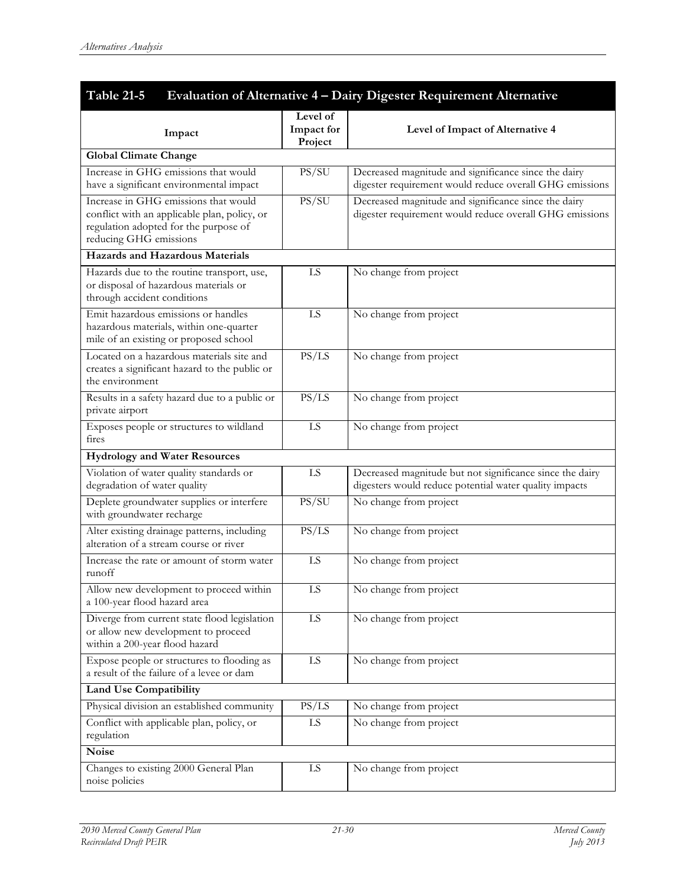| <b>Table 21-5</b><br>Evaluation of Alternative 4 - Dairy Digester Requirement Alternative                                                               |                                   |                                                                                                                    |  |
|---------------------------------------------------------------------------------------------------------------------------------------------------------|-----------------------------------|--------------------------------------------------------------------------------------------------------------------|--|
| Impact                                                                                                                                                  | Level of<br>Impact for<br>Project | Level of Impact of Alternative 4                                                                                   |  |
| <b>Global Climate Change</b>                                                                                                                            |                                   |                                                                                                                    |  |
| Increase in GHG emissions that would<br>have a significant environmental impact                                                                         | PS/SU                             | Decreased magnitude and significance since the dairy<br>digester requirement would reduce overall GHG emissions    |  |
| Increase in GHG emissions that would<br>conflict with an applicable plan, policy, or<br>regulation adopted for the purpose of<br>reducing GHG emissions | PS/SU                             | Decreased magnitude and significance since the dairy<br>digester requirement would reduce overall GHG emissions    |  |
| Hazards and Hazardous Materials                                                                                                                         |                                   |                                                                                                                    |  |
| Hazards due to the routine transport, use,<br>or disposal of hazardous materials or<br>through accident conditions                                      | LS                                | No change from project                                                                                             |  |
| Emit hazardous emissions or handles<br>hazardous materials, within one-quarter<br>mile of an existing or proposed school                                | LS                                | No change from project                                                                                             |  |
| Located on a hazardous materials site and<br>creates a significant hazard to the public or<br>the environment                                           | PS/LS                             | No change from project                                                                                             |  |
| Results in a safety hazard due to a public or<br>private airport                                                                                        | PS/LS                             | No change from project                                                                                             |  |
| Exposes people or structures to wildland<br>fires                                                                                                       | LS                                | No change from project                                                                                             |  |
| <b>Hydrology</b> and Water Resources                                                                                                                    |                                   |                                                                                                                    |  |
| Violation of water quality standards or<br>degradation of water quality                                                                                 | ${\rm LS}$                        | Decreased magnitude but not significance since the dairy<br>digesters would reduce potential water quality impacts |  |
| Deplete groundwater supplies or interfere<br>with groundwater recharge                                                                                  | PS/SU                             | No change from project                                                                                             |  |
| Alter existing drainage patterns, including<br>alteration of a stream course or river                                                                   | PS/LS                             | No change from project                                                                                             |  |
| Increase the rate or amount of storm water<br>runoff                                                                                                    | LS                                | No change from project                                                                                             |  |
| Allow new development to proceed within<br>a 100-year flood hazard area                                                                                 | LS                                | No change from project                                                                                             |  |
| Diverge from current state flood legislation<br>or allow new development to proceed<br>within a 200-year flood hazard                                   | LS                                | No change from project                                                                                             |  |
| Expose people or structures to flooding as<br>a result of the failure of a levee or dam                                                                 | LS                                | No change from project                                                                                             |  |
| <b>Land Use Compatibility</b>                                                                                                                           |                                   |                                                                                                                    |  |
| Physical division an established community                                                                                                              | PS/LS                             | No change from project                                                                                             |  |
| Conflict with applicable plan, policy, or<br>regulation                                                                                                 | LS                                | No change from project                                                                                             |  |
| <b>Noise</b>                                                                                                                                            |                                   |                                                                                                                    |  |
| Changes to existing 2000 General Plan<br>noise policies                                                                                                 | LS                                | No change from project                                                                                             |  |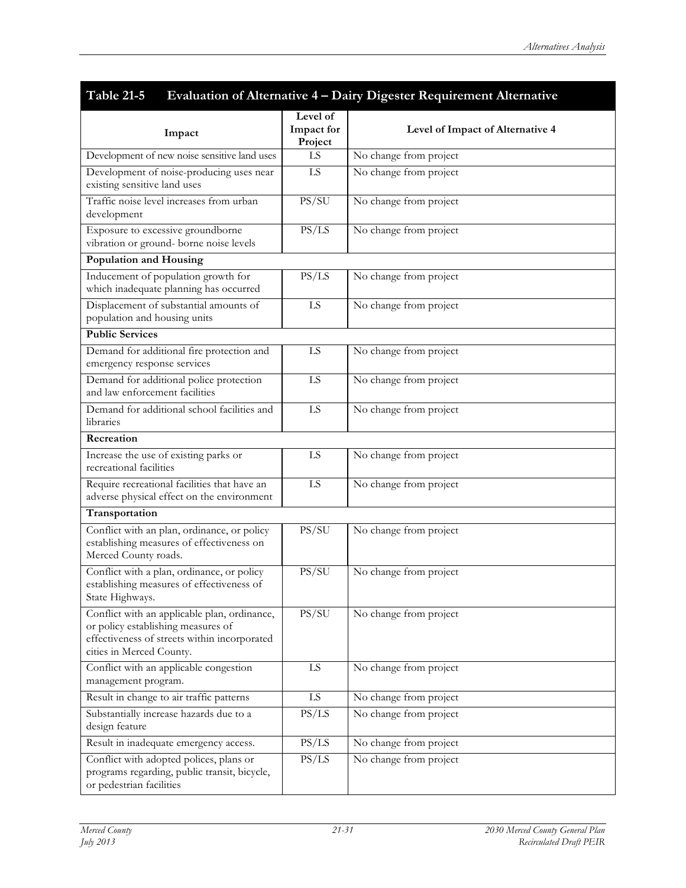| Table 21-5                                                                                                                                                     |                                   | Evaluation of Alternative 4 - Dairy Digester Requirement Alternative |
|----------------------------------------------------------------------------------------------------------------------------------------------------------------|-----------------------------------|----------------------------------------------------------------------|
| Impact                                                                                                                                                         | Level of<br>Impact for<br>Project | Level of Impact of Alternative 4                                     |
| Development of new noise sensitive land uses                                                                                                                   | LS                                | No change from project                                               |
| Development of noise-producing uses near<br>existing sensitive land uses                                                                                       | LS                                | No change from project                                               |
| Traffic noise level increases from urban<br>development                                                                                                        | PS/SU                             | No change from project                                               |
| Exposure to excessive groundborne<br>vibration or ground- borne noise levels                                                                                   | PS/LS                             | No change from project                                               |
| Population and Housing                                                                                                                                         |                                   |                                                                      |
| Inducement of population growth for<br>which inadequate planning has occurred                                                                                  | PS/LS                             | No change from project                                               |
| Displacement of substantial amounts of<br>population and housing units                                                                                         | LS                                | No change from project                                               |
| <b>Public Services</b>                                                                                                                                         |                                   |                                                                      |
| Demand for additional fire protection and<br>emergency response services                                                                                       | LS                                | No change from project                                               |
| Demand for additional police protection<br>and law enforcement facilities                                                                                      | LS                                | No change from project                                               |
| Demand for additional school facilities and<br>libraries                                                                                                       | LS                                | No change from project                                               |
| Recreation                                                                                                                                                     |                                   |                                                                      |
| Increase the use of existing parks or<br>recreational facilities                                                                                               | LS                                | No change from project                                               |
| Require recreational facilities that have an<br>adverse physical effect on the environment                                                                     | $\overline{LS}$                   | No change from project                                               |
| Transportation                                                                                                                                                 |                                   |                                                                      |
| Conflict with an plan, ordinance, or policy<br>establishing measures of effectiveness on<br>Merced County roads.                                               | PS/SU                             | No change from project                                               |
| Conflict with a plan, ordinance, or policy<br>establishing measures of effectiveness of<br>State Highways.                                                     | PS/SU                             | No change from project                                               |
| Conflict with an applicable plan, ordinance,<br>or policy establishing measures of<br>effectiveness of streets within incorporated<br>cities in Merced County. | PS/SU                             | No change from project                                               |
| Conflict with an applicable congestion<br>management program.                                                                                                  | LS                                | No change from project                                               |
| Result in change to air traffic patterns                                                                                                                       | LS                                | No change from project                                               |
| Substantially increase hazards due to a<br>design feature                                                                                                      | PS/LS                             | No change from project                                               |
| Result in inadequate emergency access.                                                                                                                         | PS/LS                             | No change from project                                               |
| Conflict with adopted polices, plans or<br>programs regarding, public transit, bicycle,<br>or pedestrian facilities                                            | PS/LS                             | No change from project                                               |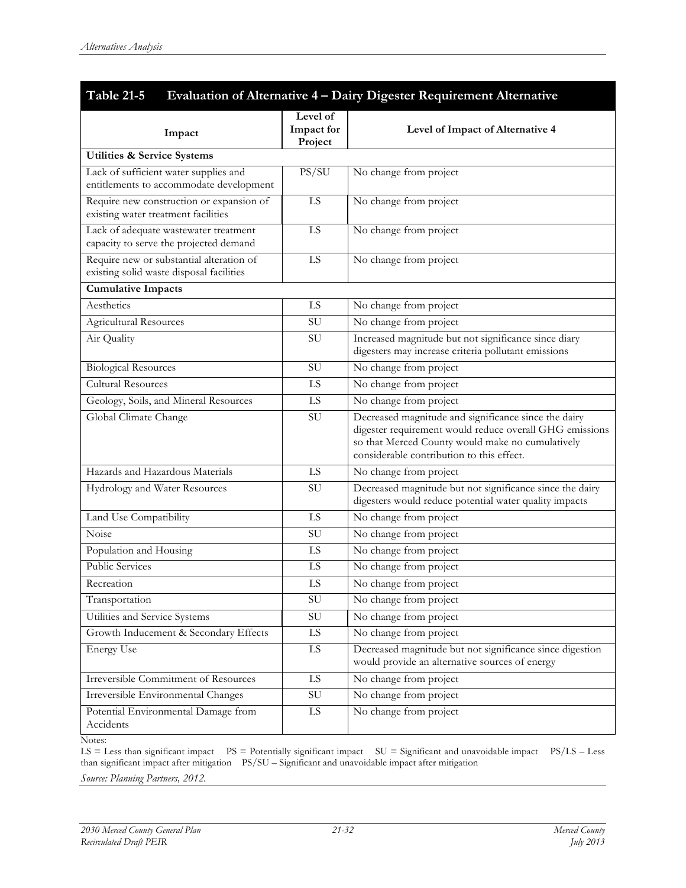| Evaluation of Alternative 4 - Dairy Digester Requirement Alternative<br><b>Table 21-5</b> |                                   |                                                                                                                                                                                                                  |  |  |  |  |
|-------------------------------------------------------------------------------------------|-----------------------------------|------------------------------------------------------------------------------------------------------------------------------------------------------------------------------------------------------------------|--|--|--|--|
| Impact                                                                                    | Level of<br>Impact for<br>Project | Level of Impact of Alternative 4                                                                                                                                                                                 |  |  |  |  |
| <b>Utilities &amp; Service Systems</b>                                                    |                                   |                                                                                                                                                                                                                  |  |  |  |  |
| Lack of sufficient water supplies and<br>entitlements to accommodate development          | PS/SU                             | No change from project                                                                                                                                                                                           |  |  |  |  |
| Require new construction or expansion of<br>existing water treatment facilities           | LS                                | No change from project                                                                                                                                                                                           |  |  |  |  |
| Lack of adequate wastewater treatment<br>capacity to serve the projected demand           | LS                                | No change from project                                                                                                                                                                                           |  |  |  |  |
| Require new or substantial alteration of<br>existing solid waste disposal facilities      | LS                                | No change from project                                                                                                                                                                                           |  |  |  |  |
| <b>Cumulative Impacts</b>                                                                 |                                   |                                                                                                                                                                                                                  |  |  |  |  |
| Aesthetics                                                                                | LS                                | No change from project                                                                                                                                                                                           |  |  |  |  |
| <b>Agricultural Resources</b>                                                             | SU                                | No change from project                                                                                                                                                                                           |  |  |  |  |
| Air Quality                                                                               | SU                                | Increased magnitude but not significance since diary<br>digesters may increase criteria pollutant emissions                                                                                                      |  |  |  |  |
| <b>Biological Resources</b>                                                               | SU                                | No change from project                                                                                                                                                                                           |  |  |  |  |
| <b>Cultural Resources</b>                                                                 | LS                                | No change from project                                                                                                                                                                                           |  |  |  |  |
| Geology, Soils, and Mineral Resources                                                     | LS                                | No change from project                                                                                                                                                                                           |  |  |  |  |
| Global Climate Change                                                                     | SU                                | Decreased magnitude and significance since the dairy<br>digester requirement would reduce overall GHG emissions<br>so that Merced County would make no cumulatively<br>considerable contribution to this effect. |  |  |  |  |
| Hazards and Hazardous Materials                                                           | LS                                | No change from project                                                                                                                                                                                           |  |  |  |  |
| Hydrology and Water Resources                                                             | SU                                | Decreased magnitude but not significance since the dairy<br>digesters would reduce potential water quality impacts                                                                                               |  |  |  |  |
| Land Use Compatibility                                                                    | LS                                | No change from project                                                                                                                                                                                           |  |  |  |  |
| Noise                                                                                     | SU                                | No change from project                                                                                                                                                                                           |  |  |  |  |
| Population and Housing                                                                    | LS                                | No change from project                                                                                                                                                                                           |  |  |  |  |
| <b>Public Services</b>                                                                    | LS                                | No change from project                                                                                                                                                                                           |  |  |  |  |
| Recreation                                                                                | LS                                | No change from project                                                                                                                                                                                           |  |  |  |  |
| Transportation                                                                            | ${\rm SU}$                        | No change from project                                                                                                                                                                                           |  |  |  |  |
| Utilities and Service Systems                                                             | $\mbox{SU}$                       | No change from project                                                                                                                                                                                           |  |  |  |  |
| Growth Inducement & Secondary Effects                                                     | $\overline{LS}$                   | No change from project                                                                                                                                                                                           |  |  |  |  |
| <b>Energy Use</b>                                                                         | LS                                | Decreased magnitude but not significance since digestion<br>would provide an alternative sources of energy                                                                                                       |  |  |  |  |
| Irreversible Commitment of Resources                                                      | LS                                | No change from project                                                                                                                                                                                           |  |  |  |  |
| Irreversible Environmental Changes                                                        | SU                                | No change from project                                                                                                                                                                                           |  |  |  |  |
| Potential Environmental Damage from<br>Accidents                                          | LS                                | No change from project                                                                                                                                                                                           |  |  |  |  |

Notes:

 $LS = Less than significant impact$   $PS = Potentially significant impact$   $SU = Significant and unavoidable impact$   $PS/LS - Less$ than significant impact after mitigation PS/SU – Significant and unavoidable impact after mitigation *Source: Planning Partners, 2012.*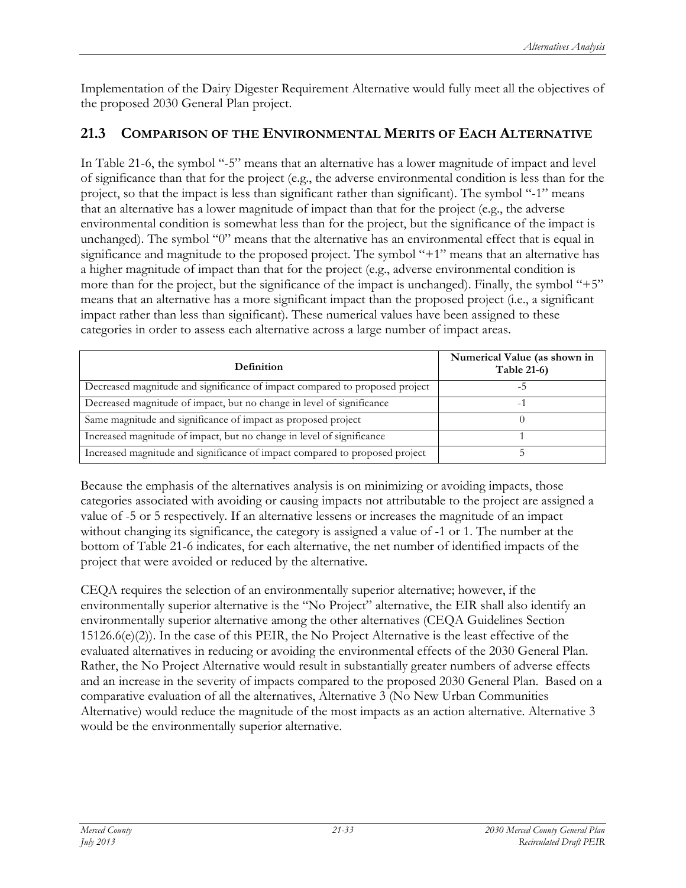Implementation of the Dairy Digester Requirement Alternative would fully meet all the objectives of the proposed 2030 General Plan project.

#### **21.3 COMPARISON OF THE ENVIRONMENTAL MERITS OF EACH ALTERNATIVE**

In Table 21-6, the symbol "-5" means that an alternative has a lower magnitude of impact and level of significance than that for the project (e.g., the adverse environmental condition is less than for the project, so that the impact is less than significant rather than significant). The symbol "-1" means that an alternative has a lower magnitude of impact than that for the project (e.g., the adverse environmental condition is somewhat less than for the project, but the significance of the impact is unchanged). The symbol "0" means that the alternative has an environmental effect that is equal in significance and magnitude to the proposed project. The symbol "+1" means that an alternative has a higher magnitude of impact than that for the project (e.g., adverse environmental condition is more than for the project, but the significance of the impact is unchanged). Finally, the symbol "+5" means that an alternative has a more significant impact than the proposed project (i.e., a significant impact rather than less than significant). These numerical values have been assigned to these categories in order to assess each alternative across a large number of impact areas.

| <b>Definition</b>                                                           | Numerical Value (as shown in<br><b>Table 21-6)</b> |
|-----------------------------------------------------------------------------|----------------------------------------------------|
| Decreased magnitude and significance of impact compared to proposed project |                                                    |
| Decreased magnitude of impact, but no change in level of significance       |                                                    |
| Same magnitude and significance of impact as proposed project               |                                                    |
| Increased magnitude of impact, but no change in level of significance       |                                                    |
| Increased magnitude and significance of impact compared to proposed project |                                                    |

Because the emphasis of the alternatives analysis is on minimizing or avoiding impacts, those categories associated with avoiding or causing impacts not attributable to the project are assigned a value of -5 or 5 respectively. If an alternative lessens or increases the magnitude of an impact without changing its significance, the category is assigned a value of -1 or 1. The number at the bottom of Table 21-6 indicates, for each alternative, the net number of identified impacts of the project that were avoided or reduced by the alternative.

CEQA requires the selection of an environmentally superior alternative; however, if the environmentally superior alternative is the "No Project" alternative, the EIR shall also identify an environmentally superior alternative among the other alternatives (CEQA Guidelines Section  $15126.6(e)(2)$ ). In the case of this PEIR, the No Project Alternative is the least effective of the evaluated alternatives in reducing or avoiding the environmental effects of the 2030 General Plan. Rather, the No Project Alternative would result in substantially greater numbers of adverse effects and an increase in the severity of impacts compared to the proposed 2030 General Plan. Based on a comparative evaluation of all the alternatives, Alternative 3 (No New Urban Communities Alternative) would reduce the magnitude of the most impacts as an action alternative. Alternative 3 would be the environmentally superior alternative.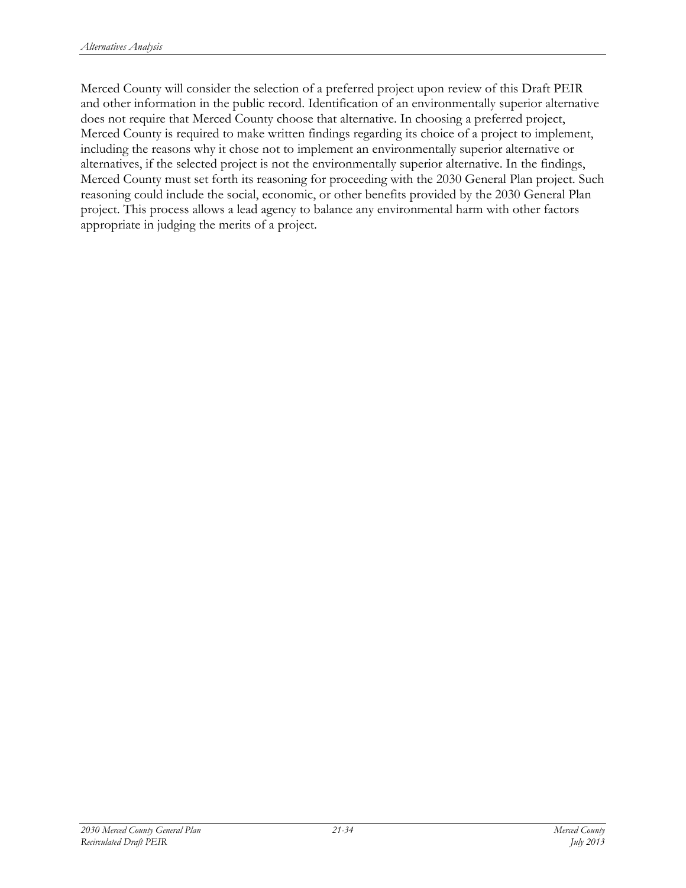Merced County will consider the selection of a preferred project upon review of this Draft PEIR and other information in the public record. Identification of an environmentally superior alternative does not require that Merced County choose that alternative. In choosing a preferred project, Merced County is required to make written findings regarding its choice of a project to implement, including the reasons why it chose not to implement an environmentally superior alternative or alternatives, if the selected project is not the environmentally superior alternative. In the findings, Merced County must set forth its reasoning for proceeding with the 2030 General Plan project. Such reasoning could include the social, economic, or other benefits provided by the 2030 General Plan project. This process allows a lead agency to balance any environmental harm with other factors appropriate in judging the merits of a project.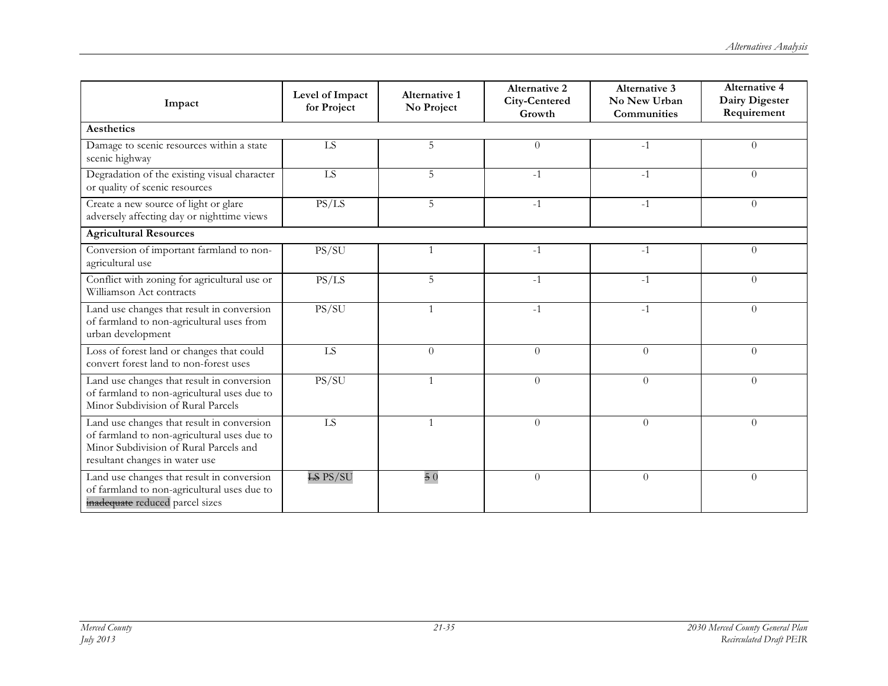| Impact                                                                                                                                                                | Level of Impact<br>for Project | <b>Alternative 1</b><br>No Project | <b>Alternative 2</b><br>City-Centered<br>Growth | <b>Alternative 3</b><br>No New Urban<br>Communities | <b>Alternative 4</b><br>Dairy Digester<br>Requirement |
|-----------------------------------------------------------------------------------------------------------------------------------------------------------------------|--------------------------------|------------------------------------|-------------------------------------------------|-----------------------------------------------------|-------------------------------------------------------|
| <b>Aesthetics</b>                                                                                                                                                     |                                |                                    |                                                 |                                                     |                                                       |
| Damage to scenic resources within a state<br>scenic highway                                                                                                           | ${\rm LS}$                     | 5                                  | $\theta$                                        | $-1$                                                | $\Omega$                                              |
| Degradation of the existing visual character<br>or quality of scenic resources                                                                                        | LS                             | 5                                  | $-1$                                            | $-1$                                                | $\Omega$                                              |
| Create a new source of light or glare<br>adversely affecting day or nighttime views                                                                                   | PS/LS                          | 5                                  | $-1$                                            | $-1$                                                | $\Omega$                                              |
| <b>Agricultural Resources</b>                                                                                                                                         |                                |                                    |                                                 |                                                     |                                                       |
| Conversion of important farmland to non-<br>agricultural use                                                                                                          | PS/SU                          | $\mathbf{1}$                       | $-1$                                            | $-1$                                                | $\theta$                                              |
| Conflict with zoning for agricultural use or<br>Williamson Act contracts                                                                                              | PS/LS                          | 5                                  | $-1$                                            | $-1$                                                | $\Omega$                                              |
| Land use changes that result in conversion<br>of farmland to non-agricultural uses from<br>urban development                                                          | PS/SU                          | 1                                  | $-1$                                            | $-1$                                                | $\theta$                                              |
| Loss of forest land or changes that could<br>convert forest land to non-forest uses                                                                                   | LS                             | $\Omega$                           | $\theta$                                        | $\theta$                                            | $\Omega$                                              |
| Land use changes that result in conversion<br>of farmland to non-agricultural uses due to<br>Minor Subdivision of Rural Parcels                                       | PS/SU                          |                                    | $\theta$                                        | $\overline{0}$                                      | $\Omega$                                              |
| Land use changes that result in conversion<br>of farmland to non-agricultural uses due to<br>Minor Subdivision of Rural Parcels and<br>resultant changes in water use | ${\rm LS}$                     |                                    | $\Omega$                                        | $\overline{0}$                                      | $\Omega$                                              |
| Land use changes that result in conversion<br>of farmland to non-agricultural uses due to<br>inadequate reduced parcel sizes                                          | $ES$ PS/SU                     | 50                                 | $\Omega$                                        | $\theta$                                            | $\Omega$                                              |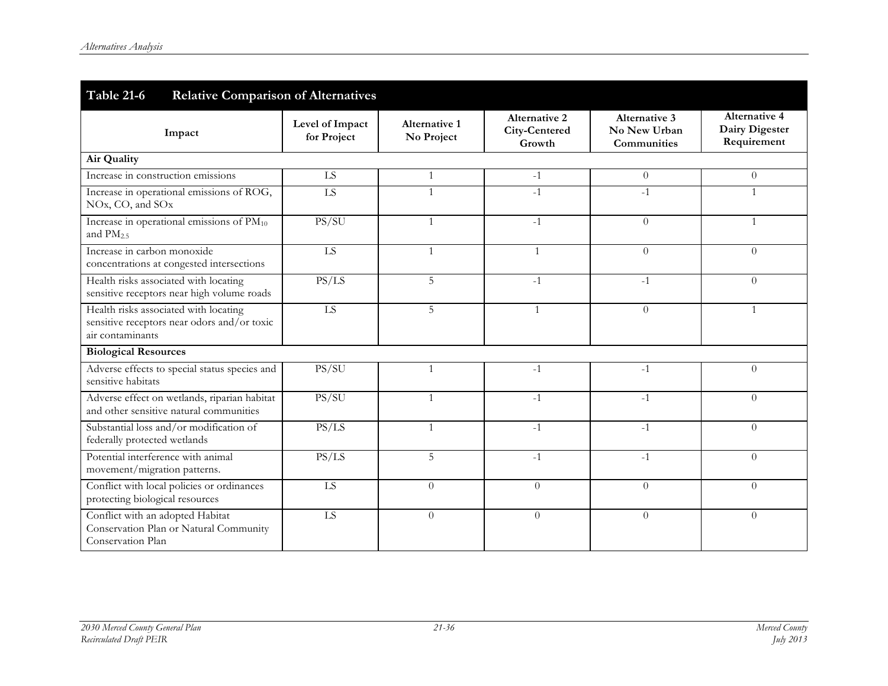| <b>Table 21-6</b><br><b>Relative Comparison of Alternatives</b>                                          |                                |                             |                                                 |                                                     |                                                       |  |
|----------------------------------------------------------------------------------------------------------|--------------------------------|-----------------------------|-------------------------------------------------|-----------------------------------------------------|-------------------------------------------------------|--|
| Impact                                                                                                   | Level of Impact<br>for Project | Alternative 1<br>No Project | <b>Alternative 2</b><br>City-Centered<br>Growth | <b>Alternative 3</b><br>No New Urban<br>Communities | <b>Alternative 4</b><br>Dairy Digester<br>Requirement |  |
| Air Quality                                                                                              |                                |                             |                                                 |                                                     |                                                       |  |
| Increase in construction emissions                                                                       | LS                             | 1                           | $-1$                                            | $\overline{0}$                                      | $\theta$                                              |  |
| Increase in operational emissions of ROG,<br>NOx, CO, and SOx                                            | LS                             |                             | $-1$                                            | $-1$                                                | $\mathbf{1}$                                          |  |
| Increase in operational emissions of PM <sub>10</sub><br>and $PM2.5$                                     | PS/SU                          | 1                           | $-1$                                            | $\theta$                                            | 1                                                     |  |
| Increase in carbon monoxide<br>concentrations at congested intersections                                 | LS                             | 1                           |                                                 | $\Omega$                                            | $\Omega$                                              |  |
| Health risks associated with locating<br>sensitive receptors near high volume roads                      | PS/LS                          | 5                           | $-1$                                            | $-1$                                                | $\Omega$                                              |  |
| Health risks associated with locating<br>sensitive receptors near odors and/or toxic<br>air contaminants | ${\rm LS}$                     | 5                           | $\mathbf{1}$                                    | $\overline{0}$                                      | $\mathbf{1}$                                          |  |
| <b>Biological Resources</b>                                                                              |                                |                             |                                                 |                                                     |                                                       |  |
| Adverse effects to special status species and<br>sensitive habitats                                      | PS/SU                          | 1                           | $-1$                                            | $-1$                                                | $\boldsymbol{0}$                                      |  |
| Adverse effect on wetlands, riparian habitat<br>and other sensitive natural communities                  | PS/SU                          | 1                           | $-1$                                            | $-1$                                                | $\theta$                                              |  |
| Substantial loss and/or modification of<br>federally protected wetlands                                  | PS/LS                          |                             | $-1$                                            | $-1$                                                | $\Omega$                                              |  |
| Potential interference with animal<br>movement/migration patterns.                                       | PS/LS                          | 5                           | $-1$                                            | $-1$                                                | $\theta$                                              |  |
| Conflict with local policies or ordinances<br>protecting biological resources                            | LS                             | $\Omega$                    | $\Omega$                                        | $\theta$                                            | $\Omega$                                              |  |
| Conflict with an adopted Habitat<br>Conservation Plan or Natural Community<br>Conservation Plan          | ${\rm LS}$                     | $\overline{0}$              | $\theta$                                        | $\theta$                                            | $\theta$                                              |  |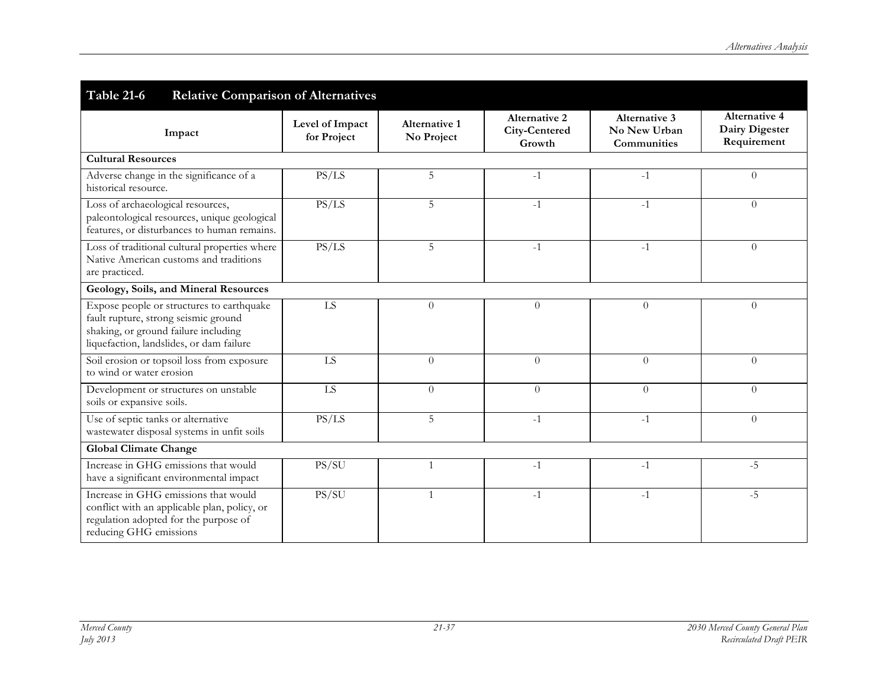| <b>Table 21-6</b><br><b>Relative Comparison of Alternatives</b>                                                                                                       |                                |                                    |                                          |                                                     |                                                              |  |
|-----------------------------------------------------------------------------------------------------------------------------------------------------------------------|--------------------------------|------------------------------------|------------------------------------------|-----------------------------------------------------|--------------------------------------------------------------|--|
| Impact                                                                                                                                                                | Level of Impact<br>for Project | <b>Alternative 1</b><br>No Project | Alternative 2<br>City-Centered<br>Growth | <b>Alternative 3</b><br>No New Urban<br>Communities | <b>Alternative 4</b><br><b>Dairy Digester</b><br>Requirement |  |
| <b>Cultural Resources</b>                                                                                                                                             |                                |                                    |                                          |                                                     |                                                              |  |
| Adverse change in the significance of a<br>historical resource.                                                                                                       | PS/LS                          | 5                                  | $-1$                                     | $-1$                                                | $\theta$                                                     |  |
| Loss of archaeological resources,<br>paleontological resources, unique geological<br>features, or disturbances to human remains.                                      | PS/LS                          | 5                                  | $-1$                                     | $-1$                                                | $\theta$                                                     |  |
| Loss of traditional cultural properties where<br>Native American customs and traditions<br>are practiced.                                                             | PS/LS                          | 5                                  | $-1$                                     | $-1$                                                | $\theta$                                                     |  |
| Geology, Soils, and Mineral Resources                                                                                                                                 |                                |                                    |                                          |                                                     |                                                              |  |
| Expose people or structures to earthquake<br>fault rupture, strong seismic ground<br>shaking, or ground failure including<br>liquefaction, landslides, or dam failure | LS                             | $\overline{0}$                     | $\theta$                                 | $\overline{0}$                                      | $\theta$                                                     |  |
| Soil erosion or topsoil loss from exposure<br>to wind or water erosion                                                                                                | $\overline{LS}$                | $\theta$                           | $\theta$                                 | $\overline{0}$                                      | $\theta$                                                     |  |
| Development or structures on unstable<br>soils or expansive soils.                                                                                                    | LS                             | $\overline{0}$                     | $\Omega$                                 | $\overline{0}$                                      | $\theta$                                                     |  |
| Use of septic tanks or alternative<br>wastewater disposal systems in unfit soils                                                                                      | PS/LS                          | 5                                  | $-1$                                     | $-1$                                                | $\theta$                                                     |  |
| <b>Global Climate Change</b>                                                                                                                                          |                                |                                    |                                          |                                                     |                                                              |  |
| Increase in GHG emissions that would<br>have a significant environmental impact                                                                                       | PS/SU                          | $\mathbf{1}$                       | $-1$                                     | $-1$                                                | $-5$                                                         |  |
| Increase in GHG emissions that would<br>conflict with an applicable plan, policy, or<br>regulation adopted for the purpose of<br>reducing GHG emissions               | PS/SU                          |                                    | $-1$                                     | $-1$                                                | $-5$                                                         |  |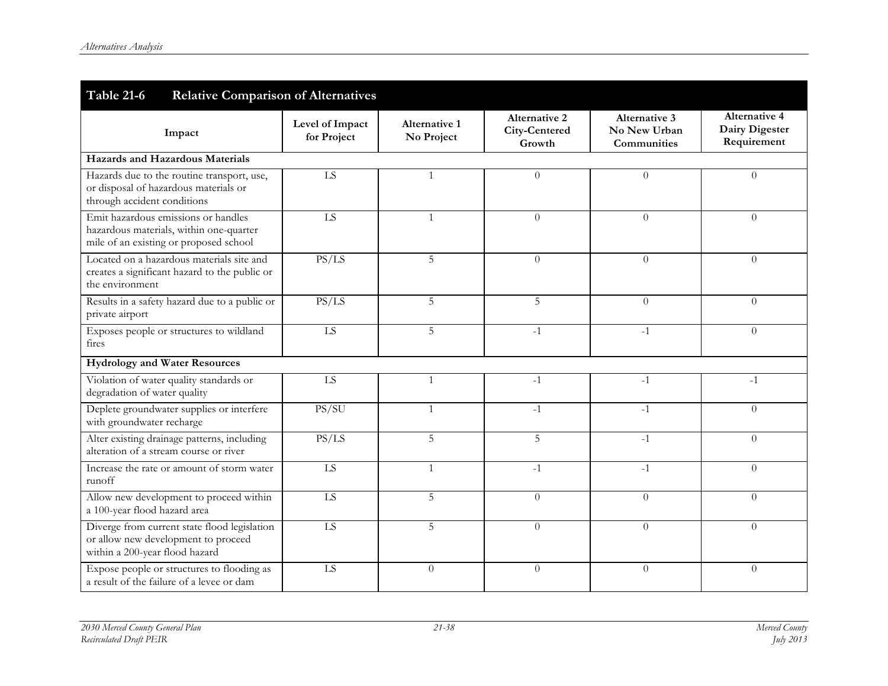| <b>Table 21-6</b><br><b>Relative Comparison of Alternatives</b>                                                          |                                |                             |                                                 |                                                            |                                                       |
|--------------------------------------------------------------------------------------------------------------------------|--------------------------------|-----------------------------|-------------------------------------------------|------------------------------------------------------------|-------------------------------------------------------|
| Impact                                                                                                                   | Level of Impact<br>for Project | Alternative 1<br>No Project | <b>Alternative 2</b><br>City-Centered<br>Growth | <b>Alternative 3</b><br>No New Urban<br><b>Communities</b> | <b>Alternative 4</b><br>Dairy Digester<br>Requirement |
| Hazards and Hazardous Materials                                                                                          |                                |                             |                                                 |                                                            |                                                       |
| Hazards due to the routine transport, use,<br>or disposal of hazardous materials or<br>through accident conditions       | LS                             | $\mathbf{1}$                | $\Omega$                                        | $\Omega$                                                   | $\Omega$                                              |
| Emit hazardous emissions or handles<br>hazardous materials, within one-quarter<br>mile of an existing or proposed school | LS                             | $\mathbf{1}$                | $\Omega$                                        | $\overline{0}$                                             | $\theta$                                              |
| Located on a hazardous materials site and<br>creates a significant hazard to the public or<br>the environment            | PS/LS                          | 5                           | $\Omega$                                        | $\theta$                                                   | $\Omega$                                              |
| Results in a safety hazard due to a public or<br>private airport                                                         | PS/LS                          | 5                           | 5                                               | $\theta$                                                   | $\theta$                                              |
| Exposes people or structures to wildland<br>fires                                                                        | LS                             | 5                           | $-1$                                            | $-1$                                                       | $\Omega$                                              |
| <b>Hydrology and Water Resources</b>                                                                                     |                                |                             |                                                 |                                                            |                                                       |
| Violation of water quality standards or<br>degradation of water quality                                                  | LS                             | $\mathbf{1}$                | $-1$                                            | $-1$                                                       | $-1$                                                  |
| Deplete groundwater supplies or interfere<br>with groundwater recharge                                                   | PS/SU                          | $\mathbf{1}$                | $-1$                                            | $-1$                                                       | $\overline{0}$                                        |
| Alter existing drainage patterns, including<br>alteration of a stream course or river                                    | PS/LS                          | 5                           | 5                                               | $-1$                                                       | $\overline{0}$                                        |
| Increase the rate or amount of storm water<br>runoff                                                                     | LS                             | $\mathbf{1}$                | $-1$                                            | $-1$                                                       | $\Omega$                                              |
| Allow new development to proceed within<br>a 100-year flood hazard area                                                  | LS                             | 5                           | $\Omega$                                        | $\Omega$                                                   | $\Omega$                                              |
| Diverge from current state flood legislation<br>or allow new development to proceed<br>within a 200-year flood hazard    | LS                             | 5                           | $\theta$                                        | $\Omega$                                                   | $\Omega$                                              |
| Expose people or structures to flooding as<br>a result of the failure of a levee or dam                                  | LS                             | $\theta$                    | $\theta$                                        | $\boldsymbol{0}$                                           | $\theta$                                              |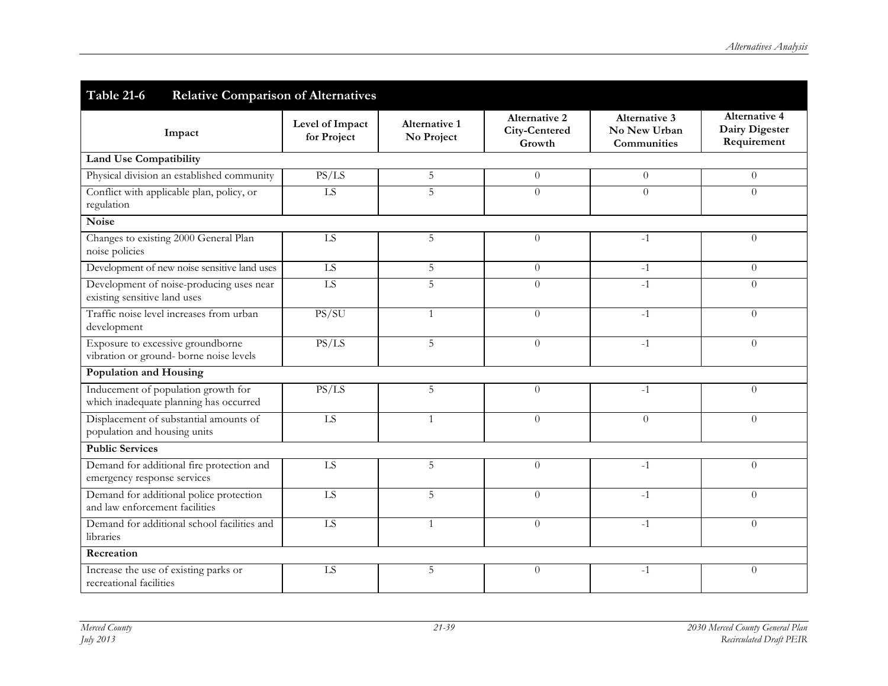| <b>Table 21-6</b><br><b>Relative Comparison of Alternatives</b>               |                                |                                    |                                          |                                                            |                                                              |
|-------------------------------------------------------------------------------|--------------------------------|------------------------------------|------------------------------------------|------------------------------------------------------------|--------------------------------------------------------------|
| Impact                                                                        | Level of Impact<br>for Project | <b>Alternative 1</b><br>No Project | Alternative 2<br>City-Centered<br>Growth | <b>Alternative 3</b><br>No New Urban<br><b>Communities</b> | <b>Alternative 4</b><br><b>Dairy Digester</b><br>Requirement |
| <b>Land Use Compatibility</b>                                                 |                                |                                    |                                          |                                                            |                                                              |
| Physical division an established community                                    | PS/LS                          | $\mathbf 5$                        | $\theta$                                 | $\overline{0}$                                             | $\theta$                                                     |
| Conflict with applicable plan, policy, or<br>regulation                       | LS                             | $\overline{5}$                     | $\Omega$                                 | $\theta$                                                   | $\Omega$                                                     |
| Noise                                                                         |                                |                                    |                                          |                                                            |                                                              |
| Changes to existing 2000 General Plan<br>noise policies                       | LS                             | 5                                  | $\theta$                                 | $-1$                                                       | $\theta$                                                     |
| Development of new noise sensitive land uses                                  | LS                             | $\mathbf 5$                        | $\theta$                                 | $-1$                                                       | $\theta$                                                     |
| Development of noise-producing uses near<br>existing sensitive land uses      | LS                             | $\overline{5}$                     | $\Omega$                                 | $-1$                                                       | $\theta$                                                     |
| Traffic noise level increases from urban<br>development                       | PS/SU                          | $\mathbf{1}$                       | $\theta$                                 | $-1$                                                       | $\theta$                                                     |
| Exposure to excessive groundborne<br>vibration or ground- borne noise levels  | PS/LS                          | 5                                  | $\theta$                                 | $-1$                                                       | $\theta$                                                     |
| Population and Housing                                                        |                                |                                    |                                          |                                                            |                                                              |
| Inducement of population growth for<br>which inadequate planning has occurred | PS/LS                          | 5                                  | $\theta$                                 | $-1$                                                       | $\theta$                                                     |
| Displacement of substantial amounts of<br>population and housing units        | LS                             | $\mathbf{1}$                       | $\theta$                                 | $\Omega$                                                   | $\theta$                                                     |
| <b>Public Services</b>                                                        |                                |                                    |                                          |                                                            |                                                              |
| Demand for additional fire protection and<br>emergency response services      | LS                             | 5                                  | $\theta$                                 | $-1$                                                       | $\Omega$                                                     |
| Demand for additional police protection<br>and law enforcement facilities     | LS                             | 5                                  | $\Omega$                                 | $-1$                                                       | $\Omega$                                                     |
| Demand for additional school facilities and<br>libraries                      | LS                             | $\mathbf{1}$                       | $\Omega$                                 | $-1$                                                       | $\theta$                                                     |
| Recreation                                                                    |                                |                                    |                                          |                                                            |                                                              |
| Increase the use of existing parks or<br>recreational facilities              | LS                             | 5                                  | $\theta$                                 | $-1$                                                       | $\theta$                                                     |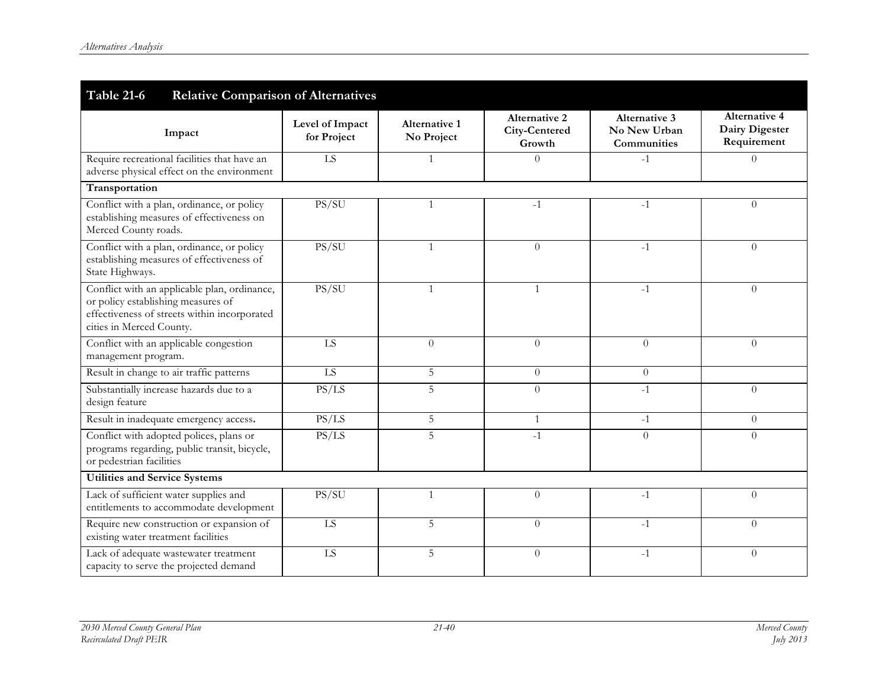| Table 21-6<br><b>Relative Comparison of Alternatives</b>                                                                                                       |                                |                             |                                                 |                                                            |                                                              |  |
|----------------------------------------------------------------------------------------------------------------------------------------------------------------|--------------------------------|-----------------------------|-------------------------------------------------|------------------------------------------------------------|--------------------------------------------------------------|--|
| Impact                                                                                                                                                         | Level of Impact<br>for Project | Alternative 1<br>No Project | <b>Alternative 2</b><br>City-Centered<br>Growth | <b>Alternative 3</b><br>No New Urban<br><b>Communities</b> | <b>Alternative 4</b><br><b>Dairy Digester</b><br>Requirement |  |
| Require recreational facilities that have an<br>adverse physical effect on the environment                                                                     | LS                             | 1                           | $\Omega$                                        | $-1$                                                       | $\Omega$                                                     |  |
| Transportation                                                                                                                                                 |                                |                             |                                                 |                                                            |                                                              |  |
| Conflict with a plan, ordinance, or policy<br>establishing measures of effectiveness on<br>Merced County roads.                                                | PS/SU                          | $\mathbf{1}$                | $-1$                                            | $-1$                                                       | $\Omega$                                                     |  |
| Conflict with a plan, ordinance, or policy<br>establishing measures of effectiveness of<br>State Highways.                                                     | PS/SU                          | 1                           | $\Omega$                                        | $-1$                                                       | $\Omega$                                                     |  |
| Conflict with an applicable plan, ordinance,<br>or policy establishing measures of<br>effectiveness of streets within incorporated<br>cities in Merced County. | PS/SU                          | $\mathbf{1}$                |                                                 | $-1$                                                       | $\theta$                                                     |  |
| Conflict with an applicable congestion<br>management program.                                                                                                  | LS                             | $\overline{0}$              | $\Omega$                                        | $\Omega$                                                   | $\theta$                                                     |  |
| Result in change to air traffic patterns                                                                                                                       | $\overline{LS}$                | 5                           | $\Omega$                                        | $\Omega$                                                   |                                                              |  |
| Substantially increase hazards due to a<br>design feature                                                                                                      | PS/LS                          | 5                           | $\Omega$                                        | $-1$                                                       | $\Omega$                                                     |  |
| Result in inadequate emergency access.                                                                                                                         | PS/LS                          | 5                           |                                                 | $-1$                                                       | $\Omega$                                                     |  |
| Conflict with adopted polices, plans or<br>programs regarding, public transit, bicycle,<br>or pedestrian facilities                                            | PS/LS                          | 5                           | $-1$                                            | $\Omega$                                                   | $\Omega$                                                     |  |
| <b>Utilities and Service Systems</b>                                                                                                                           |                                |                             |                                                 |                                                            |                                                              |  |
| Lack of sufficient water supplies and<br>entitlements to accommodate development                                                                               | PS/SU                          | $\mathbf{1}$                | $\Omega$                                        | $-1$                                                       | $\Omega$                                                     |  |
| Require new construction or expansion of<br>existing water treatment facilities                                                                                | LS                             | 5                           | $\Omega$                                        | $-1$                                                       | $\Omega$                                                     |  |
| Lack of adequate wastewater treatment<br>capacity to serve the projected demand                                                                                | LS                             | 5                           | $\Omega$                                        | $-1$                                                       | $\theta$                                                     |  |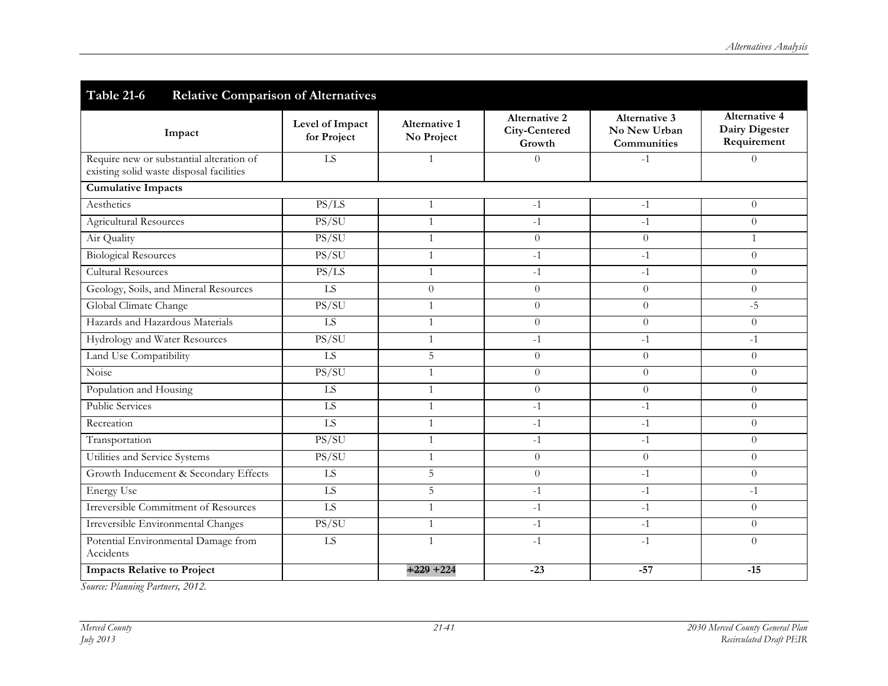| <b>Table 21-6</b><br><b>Relative Comparison of Alternatives</b>                      |                                |                                    |                                                 |                                                     |                                                       |
|--------------------------------------------------------------------------------------|--------------------------------|------------------------------------|-------------------------------------------------|-----------------------------------------------------|-------------------------------------------------------|
| Impact                                                                               | Level of Impact<br>for Project | <b>Alternative 1</b><br>No Project | <b>Alternative 2</b><br>City-Centered<br>Growth | <b>Alternative 3</b><br>No New Urban<br>Communities | <b>Alternative 4</b><br>Dairy Digester<br>Requirement |
| Require new or substantial alteration of<br>existing solid waste disposal facilities | $\overline{LS}$                | $\mathbf{1}$                       | $\overline{0}$                                  | $-1$                                                | $\theta$                                              |
| <b>Cumulative Impacts</b>                                                            |                                |                                    |                                                 |                                                     |                                                       |
| Aesthetics                                                                           | PS/LS                          | $\mathbf{1}$                       | $-1$                                            | $-1$                                                | $\theta$                                              |
| <b>Agricultural Resources</b>                                                        | PS/SU                          | $\mathbf{1}$                       | $-1$                                            | $-1$                                                | $\theta$                                              |
| Air Quality                                                                          | PS/SU                          | $\mathbf{1}$                       | $\Omega$                                        | $\overline{0}$                                      | $\mathbf{1}$                                          |
| <b>Biological Resources</b>                                                          | PS/SU                          | $\mathbf{1}$                       | $-1$                                            | $-1$                                                | $\theta$                                              |
| <b>Cultural Resources</b>                                                            | PS/LS                          | $\mathbf{1}$                       | $-1$                                            | $-1$                                                | $\theta$                                              |
| Geology, Soils, and Mineral Resources                                                | ${\rm LS}$                     | $\overline{0}$                     | $\overline{0}$                                  | $\overline{0}$                                      | $\theta$                                              |
| Global Climate Change                                                                | PS/SU                          | $\mathbf{1}$                       | $\Omega$                                        | $\overline{0}$                                      | $-5$                                                  |
| Hazards and Hazardous Materials                                                      | ${\rm LS}$                     | $\mathbf{1}$                       | $\overline{0}$                                  | $\overline{0}$                                      | $\overline{0}$                                        |
| Hydrology and Water Resources                                                        | PS/SU                          | $\mathbf{1}$                       | $-1$                                            | $-1$                                                | $-1$                                                  |
| Land Use Compatibility                                                               | ${\rm LS}$                     | 5                                  | $\theta$                                        | $\overline{0}$                                      | $\theta$                                              |
| Noise                                                                                | PS/SU                          | $\mathbf{1}$                       | $\Omega$                                        | $\overline{0}$                                      | $\theta$                                              |
| Population and Housing                                                               | LS                             | $\mathbf{1}$                       | $\overline{0}$                                  | $\overline{0}$                                      | $\theta$                                              |
| <b>Public Services</b>                                                               | $\overline{LS}$                | $\mathbf{1}$                       | $-1$                                            | $-1$                                                | $\theta$                                              |
| Recreation                                                                           | LS                             | $\mathbf{1}$                       | $-1$                                            | $-1$                                                | $\theta$                                              |
| Transportation                                                                       | PS/SU                          | $\mathbf{1}$                       | $-1$                                            | $-1$                                                | $\theta$                                              |
| Utilities and Service Systems                                                        | PS/SU                          | $\mathbf{1}$                       | $\theta$                                        | $\overline{0}$                                      | $\overline{0}$                                        |
| Growth Inducement & Secondary Effects                                                | $\overline{LS}$                | $\overline{5}$                     | $\Omega$                                        | $-1$                                                | $\theta$                                              |
| <b>Energy Use</b>                                                                    | ${\rm LS}$                     | 5                                  | $-1$                                            | $-1$                                                | $-1$                                                  |
| <b>Irreversible Commitment of Resources</b>                                          | LS                             | $\mathbf{1}$                       | $-1$                                            | $-1$                                                | $\theta$                                              |
| Irreversible Environmental Changes                                                   | PS/SU                          | $\mathbf{1}$                       | $-1$                                            | $-1$                                                | $\theta$                                              |
| Potential Environmental Damage from<br>Accidents                                     | $\overline{LS}$                | $\mathbf{1}$                       | $-1$                                            | $-1$                                                | $\theta$                                              |
| <b>Impacts Relative to Project</b>                                                   |                                | $+229 + 224$                       | $-23$                                           | $-57$                                               | $-15$                                                 |

*Source: Planning Partners, 2012.*